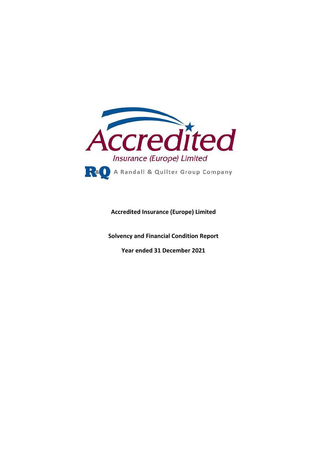

**Accredited Insurance (Europe) Limited** 

**Solvency and Financial Condition Report** 

**Year ended 31 December 2021**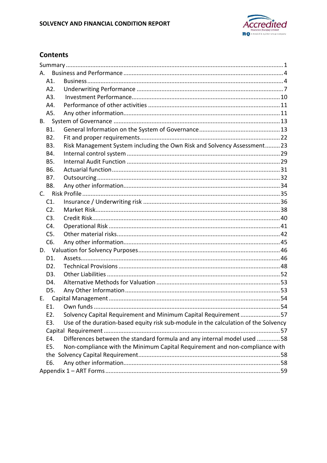

# **Contents**

| А.               |                                                                                     |  |
|------------------|-------------------------------------------------------------------------------------|--|
| A1.              |                                                                                     |  |
| A2.              |                                                                                     |  |
| A3.              |                                                                                     |  |
| A4.              |                                                                                     |  |
| A5.              |                                                                                     |  |
| B.               |                                                                                     |  |
| B1.              |                                                                                     |  |
| B <sub>2</sub> . |                                                                                     |  |
| B3.              | Risk Management System including the Own Risk and Solvency Assessment23             |  |
| B4.              |                                                                                     |  |
| B5.              |                                                                                     |  |
| B6.              |                                                                                     |  |
| B7.              |                                                                                     |  |
| B8.              |                                                                                     |  |
|                  |                                                                                     |  |
| C1.              |                                                                                     |  |
| $C2$ .           |                                                                                     |  |
| C3.              |                                                                                     |  |
| C4.              |                                                                                     |  |
| C5.              |                                                                                     |  |
| C6.              |                                                                                     |  |
|                  |                                                                                     |  |
| D1.              |                                                                                     |  |
| D <sub>2</sub> . |                                                                                     |  |
| D <sub>3</sub> . |                                                                                     |  |
| D4.              |                                                                                     |  |
| D5.              |                                                                                     |  |
| E.               |                                                                                     |  |
| E1.              |                                                                                     |  |
| E2.              | Solvency Capital Requirement and Minimum Capital Requirement57                      |  |
| E3.              | Use of the duration-based equity risk sub-module in the calculation of the Solvency |  |
|                  |                                                                                     |  |
| E4.              | Differences between the standard formula and any internal model used 58             |  |
| E5.              | Non-compliance with the Minimum Capital Requirement and non-compliance with         |  |
|                  |                                                                                     |  |
| E6.              |                                                                                     |  |
|                  |                                                                                     |  |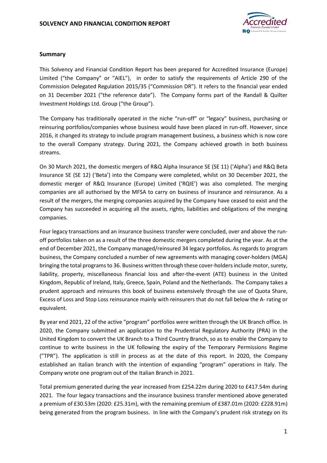

### **Summary**

This Solvency and Financial Condition Report has been prepared for Accredited Insurance (Europe) Limited ("the Company" or "AIEL"), in order to satisfy the requirements of Article 290 of the Commission Delegated Regulation 2015/35 ("Commission DR"). It refers to the financial year ended on 31 December 2021 ("the reference date"). The Company forms part of the Randall & Quilter Investment Holdings Ltd. Group ("the Group").

The Company has traditionally operated in the niche "run-off" or "legacy" business, purchasing or reinsuring portfolios/companies whose business would have been placed in run-off. However, since 2016, it changed its strategy to include program management business, a business which is now core to the overall Company strategy. During 2021, the Company achieved growth in both business streams.

On 30 March 2021, the domestic mergers of R&Q Alpha Insurance SE (SE 11) ('Alpha') and R&Q Beta Insurance SE (SE 12) ('Beta') into the Company were completed, whilst on 30 December 2021, the domestic merger of R&Q Insurance (Europe) Limited ('RQIE') was also completed. The merging companies are all authorised by the MFSA to carry on business of insurance and reinsurance. As a result of the mergers, the merging companies acquired by the Company have ceased to exist and the Company has succeeded in acquiring all the assets, rights, liabilities and obligations of the merging companies.

Four legacy transactions and an insurance business transfer were concluded, over and above the runoff portfolios taken on as a result of the three domestic mergers completed during the year. As at the end of December 2021, the Company managed/reinsured 34 legacy portfolios. As regards to program business, the Company concluded a number of new agreements with managing cover-holders (MGA) bringing the total programs to 36. Business written through these cover-holders include motor, surety, liability, property, miscellaneous financial loss and after-the-event (ATE) business in the United Kingdom, Republic of Ireland, Italy, Greece, Spain, Poland and the Netherlands. The Company takes a prudent approach and reinsures this book of business extensively through the use of Quota Share, Excess of Loss and Stop Loss reinsurance mainly with reinsurers that do not fall below the A- rating or equivalent.

By year end 2021, 22 of the active "program" portfolios were written through the UK Branch office. In 2020, the Company submitted an application to the Prudential Regulatory Authority (PRA) in the United Kingdom to convert the UK Branch to a Third Country Branch, so as to enable the Company to continue to write business in the UK following the expiry of the Temporary Permissions Regime ("TPR"). The application is still in process as at the date of this report. In 2020, the Company established an Italian branch with the intention of expanding "program" operations in Italy. The Company wrote one program out of the Italian Branch in 2021.

Total premium generated during the year increased from £254.22m during 2020 to £417.54m during 2021. The four legacy transactions and the insurance business transfer mentioned above generated a premium of £30.53m (2020: £25.31m), with the remaining premium of £387.01m (2020: £228.91m) being generated from the program business. In line with the Company's prudent risk strategy on its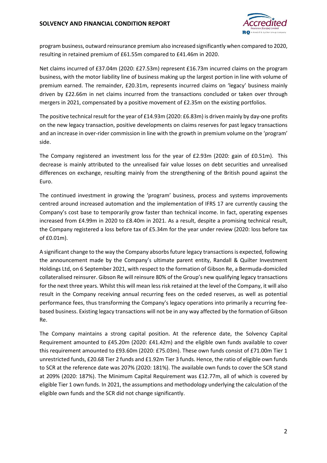

program business, outward reinsurance premium also increased significantly when compared to 2020, resulting in retained premium of £61.55m compared to £41.46m in 2020.

Net claims incurred of £37.04m (2020: £27.53m) represent £16.73m incurred claims on the program business, with the motor liability line of business making up the largest portion in line with volume of premium earned. The remainder, £20.31m, represents incurred claims on 'legacy' business mainly driven by £22.66m in net claims incurred from the transactions concluded or taken over through mergers in 2021, compensated by a positive movement of £2.35m on the existing portfolios.

The positive technical result for the year of £14.93m (2020: £6.83m) is driven mainly by day-one profits on the new legacy transaction, positive developments on claims reserves for past legacy transactions and an increase in over-rider commission in line with the growth in premium volume on the 'program' side.

The Company registered an investment loss for the year of £2.93m (2020: gain of £0.51m). This decrease is mainly attributed to the unrealised fair value losses on debt securities and unrealised differences on exchange, resulting mainly from the strengthening of the British pound against the Euro.

The continued investment in growing the 'program' business, process and systems improvements centred around increased automation and the implementation of IFRS 17 are currently causing the Company's cost base to temporarily grow faster than technical income. In fact, operating expenses increased from £4.99m in 2020 to £8.40m in 2021. As a result, despite a promising technical result, the Company registered a loss before tax of £5.34m for the year under review (2020: loss before tax of £0.01m).

A significant change to the way the Company absorbs future legacy transactions is expected, following the announcement made by the Company's ultimate parent entity, Randall & Quilter Investment Holdings Ltd, on 6 September 2021, with respect to the formation of Gibson Re, a Bermuda-domiciled collateralised reinsurer. Gibson Re will reinsure 80% of the Group's new qualifying legacy transactions for the next three years. Whilst this will mean less risk retained at the level of the Company, it will also result in the Company receiving annual recurring fees on the ceded reserves, as well as potential performance fees, thus transforming the Company's legacy operations into primarily a recurring feebased business. Existing legacy transactions will not be in any way affected by the formation of Gibson Re.

The Company maintains a strong capital position. At the reference date, the Solvency Capital Requirement amounted to £45.20m (2020: £41.42m) and the eligible own funds available to cover this requirement amounted to £93.60m (2020: £75.03m). These own funds consist of £71.00m Tier 1 unrestricted funds, £20.68 Tier 2 funds and £1.92m Tier 3 funds. Hence, the ratio of eligible own funds to SCR at the reference date was 207% (2020: 181%). The available own funds to cover the SCR stand at 209% (2020: 187%). The Minimum Capital Requirement was £12.77m, all of which is covered by eligible Tier 1 own funds. In 2021, the assumptions and methodology underlying the calculation of the eligible own funds and the SCR did not change significantly.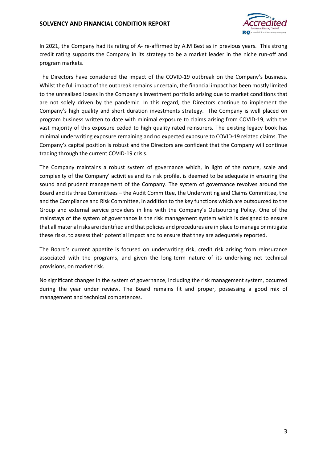

In 2021, the Company had its rating of A- re-affirmed by A.M Best as in previous years. This strong credit rating supports the Company in its strategy to be a market leader in the niche run-off and program markets.

The Directors have considered the impact of the COVID-19 outbreak on the Company's business. Whilst the full impact of the outbreak remains uncertain, the financial impact has been mostly limited to the unrealised losses in the Company's investment portfolio arising due to market conditions that are not solely driven by the pandemic. In this regard, the Directors continue to implement the Company's high quality and short duration investments strategy. The Company is well placed on program business written to date with minimal exposure to claims arising from COVID-19, with the vast majority of this exposure ceded to high quality rated reinsurers. The existing legacy book has minimal underwriting exposure remaining and no expected exposure to COVID-19 related claims. The Company's capital position is robust and the Directors are confident that the Company will continue trading through the current COVID-19 crisis.

The Company maintains a robust system of governance which, in light of the nature, scale and complexity of the Company' activities and its risk profile, is deemed to be adequate in ensuring the sound and prudent management of the Company. The system of governance revolves around the Board and its three Committees – the Audit Committee, the Underwriting and Claims Committee, the and the Compliance and Risk Committee, in addition to the key functions which are outsourced to the Group and external service providers in line with the Company's Outsourcing Policy. One of the mainstays of the system of governance is the risk management system which is designed to ensure that all material risks are identified and that policies and procedures are in place to manage or mitigate these risks, to assess their potential impact and to ensure that they are adequately reported.

The Board's current appetite is focused on underwriting risk, credit risk arising from reinsurance associated with the programs, and given the long-term nature of its underlying net technical provisions, on market risk.

No significant changes in the system of governance, including the risk management system, occurred during the year under review. The Board remains fit and proper, possessing a good mix of management and technical competences.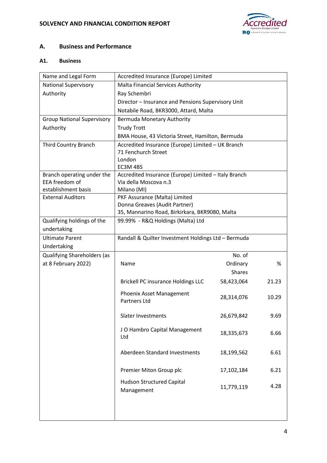

# **A. Business and Performance**

### **A1. Business**

| Name and Legal Form               | Accredited Insurance (Europe) Limited                            |               |       |
|-----------------------------------|------------------------------------------------------------------|---------------|-------|
| <b>National Supervisory</b>       | Malta Financial Services Authority                               |               |       |
| Authority                         | Ray Schembri                                                     |               |       |
|                                   | Director - Insurance and Pensions Supervisory Unit               |               |       |
|                                   | Notabile Road, BKR3000, Attard, Malta                            |               |       |
| <b>Group National Supervisory</b> | Bermuda Monetary Authority                                       |               |       |
| Authority                         | <b>Trudy Trott</b>                                               |               |       |
|                                   | BMA House, 43 Victoria Street, Hamilton, Bermuda                 |               |       |
| <b>Third Country Branch</b>       | Accredited Insurance (Europe) Limited - UK Branch                |               |       |
|                                   | 71 Fenchurch Street                                              |               |       |
|                                   | London                                                           |               |       |
| Branch operating under the        | EC3M 4BS<br>Accredited Insurance (Europe) Limited - Italy Branch |               |       |
| EEA freedom of                    | Via della Moscova n.3                                            |               |       |
| establishment basis               | Milano (MI)                                                      |               |       |
| <b>External Auditors</b>          | PKF Assurance (Malta) Limited                                    |               |       |
|                                   | Donna Greaves (Audit Partner)                                    |               |       |
|                                   | 35, Mannarino Road, Birkirkara, BKR9080, Malta                   |               |       |
| Qualifying holdings of the        | 99.99% - R&Q Holdings (Malta) Ltd                                |               |       |
| undertaking                       |                                                                  |               |       |
| <b>Ultimate Parent</b>            | Randall & Quilter Investment Holdings Ltd - Bermuda              |               |       |
| Undertaking                       |                                                                  |               |       |
| Qualifying Shareholders (as       |                                                                  | No. of        |       |
| at 8 February 2022)               | Name                                                             | Ordinary      | %     |
|                                   |                                                                  | <b>Shares</b> |       |
|                                   | <b>Brickell PC insurance Holdings LLC</b>                        | 58,423,064    | 21.23 |
|                                   | Phoenix Asset Management                                         | 28,314,076    | 10.29 |
|                                   | Partners Ltd                                                     |               |       |
|                                   | <b>Slater Investments</b>                                        | 26,679,842    | 9.69  |
|                                   | JO Hambro Capital Management                                     |               |       |
|                                   | Ltd                                                              | 18,335,673    | 6.66  |
|                                   |                                                                  |               |       |
|                                   | Aberdeen Standard Investments                                    | 18,199,562    | 6.61  |
|                                   |                                                                  |               |       |
|                                   | Premier Miton Group plc                                          | 17,102,184    | 6.21  |
|                                   | <b>Hudson Structured Capital</b>                                 | 11,779,119    | 4.28  |
|                                   | Management                                                       |               |       |
|                                   |                                                                  |               |       |
|                                   |                                                                  |               |       |
|                                   |                                                                  |               |       |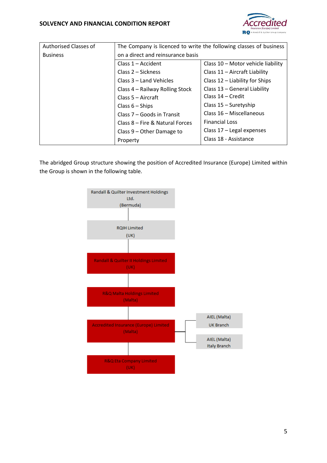

| <b>Authorised Classes of</b> | The Company is licenced to write the following classes of business |                                    |  |
|------------------------------|--------------------------------------------------------------------|------------------------------------|--|
| <b>Business</b>              | on a direct and reinsurance basis                                  |                                    |  |
|                              | Class $1 -$ Accident                                               | Class 10 - Motor vehicle liability |  |
|                              | Class 2 – Sickness                                                 | Class 11 - Aircraft Liability      |  |
|                              | Class 3 - Land Vehicles                                            | Class $12$ – Liability for Ships   |  |
|                              | Class 4 - Railway Rolling Stock                                    | Class 13 - General Liability       |  |
|                              | Class 5 - Aircraft                                                 | Class 14 - Credit                  |  |
|                              | Class $6 -$ Ships                                                  | Class 15 - Suretyship              |  |
|                              | Class 7 – Goods in Transit                                         | Class 16 - Miscellaneous           |  |
|                              | Class 8 – Fire & Natural Forces                                    | <b>Financial Loss</b>              |  |
|                              | Class $9$ – Other Damage to                                        | Class $17$ – Legal expenses        |  |
|                              | Property                                                           | Class 18 - Assistance              |  |

The abridged Group structure showing the position of Accredited Insurance (Europe) Limited within the Group is shown in the following table.

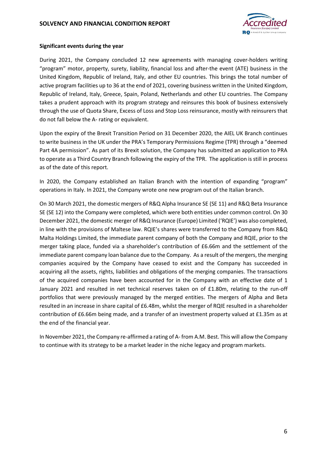#### **SOLVENCY AND FINANCIAL CONDITION REPORT**



#### **Significant events during the year**

During 2021, the Company concluded 12 new agreements with managing cover-holders writing "program" motor, property, surety, liability, financial loss and after-the event (ATE) business in the United Kingdom, Republic of Ireland, Italy, and other EU countries. This brings the total number of active program facilities up to 36 at the end of 2021, covering business written in the United Kingdom, Republic of Ireland, Italy, Greece, Spain, Poland, Netherlands and other EU countries. The Company takes a prudent approach with its program strategy and reinsures this book of business extensively through the use of Quota Share, Excess of Loss and Stop Loss reinsurance, mostly with reinsurers that do not fall below the A- rating or equivalent.

Upon the expiry of the Brexit Transition Period on 31 December 2020, the AIEL UK Branch continues to write business in the UK under the PRA's Temporary Permissions Regime (TPR) through a "deemed Part 4A permission". As part of its Brexit solution, the Company has submitted an application to PRA to operate as a Third Country Branch following the expiry of the TPR. The application is still in process as of the date of this report.

In 2020, the Company established an Italian Branch with the intention of expanding "program" operations in Italy. In 2021, the Company wrote one new program out of the Italian branch.

On 30 March 2021, the domestic mergers of R&Q Alpha Insurance SE (SE 11) and R&Q Beta Insurance SE (SE 12) into the Company were completed, which were both entities under common control. On 30 December 2021, the domestic merger of R&Q Insurance (Europe) Limited ('RQIE') was also completed, in line with the provisions of Maltese law. RQIE's shares were transferred to the Company from R&Q Malta Holdings Limited, the immediate parent company of both the Company and RQIE, prior to the merger taking place, funded via a shareholder's contribution of £6.66m and the settlement of the immediate parent company loan balance due to the Company. As a result of the mergers, the merging companies acquired by the Company have ceased to exist and the Company has succeeded in acquiring all the assets, rights, liabilities and obligations of the merging companies. The transactions of the acquired companies have been accounted for in the Company with an effective date of 1 January 2021 and resulted in net technical reserves taken on of £1.80m, relating to the run-off portfolios that were previously managed by the merged entities. The mergers of Alpha and Beta resulted in an increase in share capital of £6.48m, whilst the merger of RQIE resulted in a shareholder contribution of £6.66m being made, and a transfer of an investment property valued at £1.35m as at the end of the financial year.

In November 2021, the Company re-affirmed a rating of A- from A.M. Best. This will allow the Company to continue with its strategy to be a market leader in the niche legacy and program markets.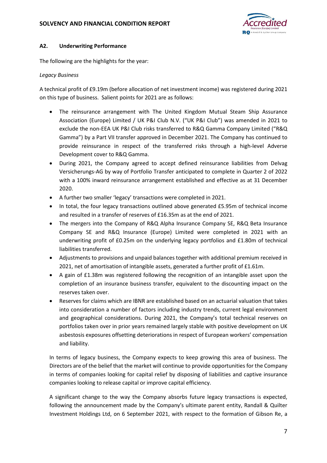

### **A2. Underwriting Performance**

The following are the highlights for the year:

### *Legacy Business*

A technical profit of £9.19m (before allocation of net investment income) was registered during 2021 on this type of business. Salient points for 2021 are as follows:

- The reinsurance arrangement with The United Kingdom Mutual Steam Ship Assurance Association (Europe) Limited / UK P&I Club N.V. ("UK P&I Club") was amended in 2021 to exclude the non-EEA UK P&I Club risks transferred to R&Q Gamma Company Limited ("R&Q Gamma") by a Part VII transfer approved in December 2021. The Company has continued to provide reinsurance in respect of the transferred risks through a high-level Adverse Development cover to R&Q Gamma.
- During 2021, the Company agreed to accept defined reinsurance liabilities from Delvag Versicherungs-AG by way of Portfolio Transfer anticipated to complete in Quarter 2 of 2022 with a 100% inward reinsurance arrangement established and effective as at 31 December 2020.
- A further two smaller 'legacy' transactions were completed in 2021.
- In total, the four legacy transactions outlined above generated £5.95m of technical income and resulted in a transfer of reserves of £16.35m as at the end of 2021.
- The mergers into the Company of R&Q Alpha Insurance Company SE, R&Q Beta Insurance Company SE and R&Q Insurance (Europe) Limited were completed in 2021 with an underwriting profit of £0.25m on the underlying legacy portfolios and £1.80m of technical liabilities transferred.
- Adjustments to provisions and unpaid balances together with additional premium received in 2021, net of amortisation of intangible assets, generated a further profit of £1.61m.
- A gain of £1.38m was registered following the recognition of an intangible asset upon the completion of an insurance business transfer, equivalent to the discounting impact on the reserves taken over.
- Reserves for claims which are IBNR are established based on an actuarial valuation that takes into consideration a number of factors including industry trends, current legal environment and geographical considerations. During 2021, the Company's total technical reserves on portfolios taken over in prior years remained largely stable with positive development on UK asbestosis exposures offsetting deteriorations in respect of European workers' compensation and liability.

In terms of legacy business, the Company expects to keep growing this area of business. The Directors are of the belief that the market will continue to provide opportunities for the Company in terms of companies looking for capital relief by disposing of liabilities and captive insurance companies looking to release capital or improve capital efficiency.

A significant change to the way the Company absorbs future legacy transactions is expected, following the announcement made by the Company's ultimate parent entity, Randall & Quilter Investment Holdings Ltd, on 6 September 2021, with respect to the formation of Gibson Re, a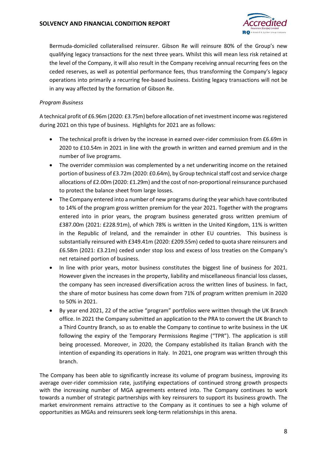

Bermuda-domiciled collateralised reinsurer. Gibson Re will reinsure 80% of the Group's new qualifying legacy transactions for the next three years. Whilst this will mean less risk retained at the level of the Company, it will also result in the Company receiving annual recurring fees on the ceded reserves, as well as potential performance fees, thus transforming the Company's legacy operations into primarily a recurring fee-based business. Existing legacy transactions will not be in any way affected by the formation of Gibson Re.

### *Program Business*

A technical profit of £6.96m (2020: £3.75m) before allocation of net investment income was registered during 2021 on this type of business. Highlights for 2021 are as follows:

- The technical profit is driven by the increase in earned over-rider commission from £6.69m in 2020 to £10.54m in 2021 in line with the growth in written and earned premium and in the number of live programs.
- The overrider commission was complemented by a net underwriting income on the retained portion of business of £3.72m (2020: £0.64m), by Group technical staff cost and service charge allocations of £2.00m (2020: £1.29m) and the cost of non-proportional reinsurance purchased to protect the balance sheet from large losses.
- The Company entered into a number of new programs during the year which have contributed to 14% of the program gross written premium for the year 2021. Together with the programs entered into in prior years, the program business generated gross written premium of £387.00m (2021: £228.91m), of which 78% is written in the United Kingdom, 11% is written in the Republic of Ireland, and the remainder in other EU countries. This business is substantially reinsured with £349.41m (2020: £209.55m) ceded to quota share reinsurers and £6.58m (2021: £3.21m) ceded under stop loss and excess of loss treaties on the Company's net retained portion of business.
- In line with prior years, motor business constitutes the biggest line of business for 2021. However given the increases in the property, liability and miscellaneous financial loss classes, the company has seen increased diversification across the written lines of business. In fact, the share of motor business has come down from 71% of program written premium in 2020 to 50% in 2021.
- By year end 2021, 22 of the active "program" portfolios were written through the UK Branch office. In 2021 the Company submitted an application to the PRA to convert the UK Branch to a Third Country Branch, so as to enable the Company to continue to write business in the UK following the expiry of the Temporary Permissions Regime ("TPR"). The application is still being processed. Moreover, in 2020, the Company established its Italian Branch with the intention of expanding its operations in Italy. In 2021, one program was written through this branch.

The Company has been able to significantly increase its volume of program business, improving its average over-rider commission rate, justifying expectations of continued strong growth prospects with the increasing number of MGA agreements entered into. The Company continues to work towards a number of strategic partnerships with key reinsurers to support its business growth. The market environment remains attractive to the Company as it continues to see a high volume of opportunities as MGAs and reinsurers seek long-term relationships in this arena.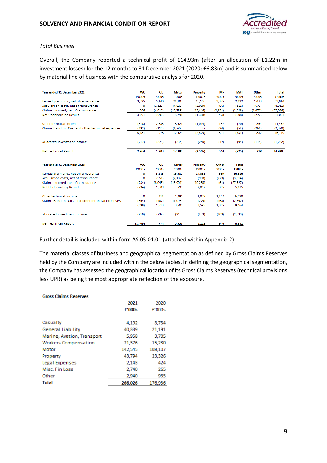

#### *Total Business*

Overall, the Company reported a technical profit of £14.93m (after an allocation of £1.22m in investment losses) for the 12 months to 31 December 2021 (2020: £6.83m) and is summarised below by material line of business with the comparative analysis for 2020.

| Year ended 31 December 2021:                      | <b>WC</b> | GL       | <b>Motor</b> | <b>Property</b> | <b>MF</b>    | <b>MAT</b>   | <b>Other</b> | <b>Total</b> |
|---------------------------------------------------|-----------|----------|--------------|-----------------|--------------|--------------|--------------|--------------|
|                                                   | f'000s    | £'000s   | £'000s       | f'000s          | f'000s       | £'000s       | £'000s       | £'000s       |
| Earned premiums, net of reinsurance               | 3.325     | 5.140    | 21,403       | 16,166          | 3.375        | 2.132        | 1,473        | 53,014       |
| Acquisition costs, net of reinsurance             | 0         | (1, 120) | (4,823)      | (2,089)         | (96)         | (111)        | (672)        | (8,911)      |
| Claims incurred, net of reinsurance               | 366       | (4,616)  | (10,789)     | (15, 446)       | (2,851)      | (2,628)      | (1,072)      | (37,036)     |
| <b>Net Underwriting Result</b>                    | 3,691     | (596)    | 5,791        | (1, 368)        | 428          | (608)        | (272)        | 7,067        |
| Other technical income                            | (318)     | 2,683    | 8,621        | (1,014)         | 187          | (70)         | 1,364        | 11,452       |
| Claims Handling Cost and other technical expenses | (192)     | (110)    | (1,788)      | 57              | (24)         | (54)         | (260)        | (2, 370)     |
|                                                   | 3,181     | 1,978    | 12,624       | (2, 325)        | 591          | (731)        | 832          | 16,149       |
| Allocated investment income                       | (217)     | (275)    | (234)        | (240)           | (47)         | (94)         | (114)        | (1,222)      |
| <b>Net Technical Result</b>                       | 2.964     | 1,703    | 12,390       | (2,566)         | 544          | (825)        | 718          | 14,928       |
|                                                   |           |          |              |                 |              |              |              |              |
| Year ended 31 December 2020:                      | <b>WC</b> | GL       | <b>Motor</b> | Property        | <b>Other</b> | <b>Total</b> |              |              |
|                                                   | f'000s    | f'000s   | f'000s       | f'000s          | £'000s       | £'000s       |              |              |
| Earned premiums, net of reinsurance               | 0         | 5,183    | 16,682       | 14,063          | 689          | 36,616       |              |              |
| Acquisition costs, net of reinsurance             | 0         | (551)    | (2, 182)     | (908)           | (273)        | (3,914)      |              |              |
| Claims incurred, net of reinsurance               | (234)     | (3,043)  | (13,901)     | (10, 288)       | (61)         | (27, 527)    |              |              |
| <b>Net Underwriting Result</b>                    | (234)     | 1,589    | 599          | 2.867           | 355          | 5,175        |              |              |
| Other technical income                            | 0         | 411      | 4.094        | 1,008           | 1,167        | 6,680        |              |              |
| Claims Handling Cost and other technical expenses | (364)     | (487)    | (1.093)      | (279)           | (168)        | (2, 392)     |              |              |
|                                                   | (599)     | 1,513    | 3,600        | 3,595           | 1,355        | 9,464        |              |              |
| Allocated investment income                       | (810)     | (738)    | (243)        | (433)           | (408)        | (2,633)      |              |              |
| <b>Net Technical Result</b>                       | (1,409)   | 774      | 3.357        | 3.162           | 946          | 6,831        |              |              |

Further detail is included within form AS.05.01.01 (attached within Appendix 2).

The material classes of business and geographical segmentation as defined by Gross Claims Reserves held by the Company are included within the below tables. In defining the geographical segmentation, the Company has assessed the geographical location of its Gross Claims Reserves (technical provisions less UPR) as being the most appropriate reflection of the exposure.

#### **Gross Claims Reserves**

|                             | 2021    | 2020    |
|-----------------------------|---------|---------|
|                             | £'000s  | f'000s  |
|                             |         |         |
| Casualty                    | 4.192   | 3,754   |
| <b>General Liability</b>    | 40,339  | 21,191  |
| Marine, Avation, Transport  | 5,958   | 3,705   |
| <b>Workers Compensation</b> | 21,376  | 15,230  |
| Motor                       | 142,545 | 108,107 |
| Property                    | 43,794  | 23,326  |
| Legal Expenses              | 2.143   | 424     |
| Misc. Fin Loss              | 2.740   | 265     |
| Other                       | 2,940   | 935     |
| <b>Total</b>                | 266,026 | 176.936 |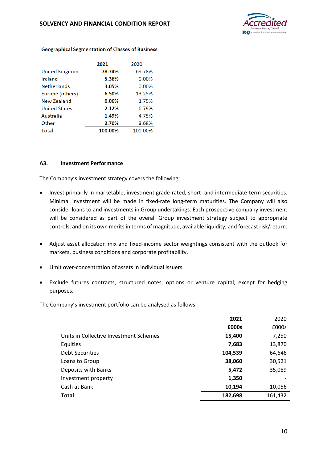

|                       | 2021    | 2020    |
|-----------------------|---------|---------|
| <b>United Kingdom</b> | 78.74%  | 69.78%  |
| Ireland               | 5.36%   | 0.00%   |
| <b>Netherlands</b>    | 3.05%   | 0.00%   |
| Europe (others)       | 6.50%   | 13.25%  |
| New Zealand           | 0.06%   | 1.75%   |
| <b>United States</b>  | 2.12%   | 6.79%   |
| Australia             | 1.49%   | 4.75%   |
| Other                 | 2.70%   | 3.68%   |
| Total                 | 100.00% | 100.00% |

#### **Geographical Segmentation of Classes of Business**

#### **A3. Investment Performance**

The Company's investment strategy covers the following:

- Invest primarily in marketable, investment grade-rated, short- and intermediate-term securities. Minimal investment will be made in fixed-rate long-term maturities. The Company will also consider loans to and investments in Group undertakings. Each prospective company investment will be considered as part of the overall Group investment strategy subject to appropriate controls, and on its own merits in terms of magnitude, available liquidity, and forecast risk/return.
- Adjust asset allocation mix and fixed-income sector weightings consistent with the outlook for markets, business conditions and corporate profitability.
- Limit over-concentration of assets in individual issuers.
- Exclude futures contracts, structured notes, options or venture capital, except for hedging purposes.

The Company's investment portfolio can be analysed as follows:

|                                        | 2021    | 2020    |
|----------------------------------------|---------|---------|
|                                        | £000s   | £000s   |
| Units in Collective Investment Schemes | 15,400  | 7,250   |
| Equities                               | 7,683   | 13,870  |
| <b>Debt Securities</b>                 | 104,539 | 64,646  |
| Loans to Group                         | 38,060  | 30,521  |
| Deposits with Banks                    | 5,472   | 35,089  |
| Investment property                    | 1,350   |         |
| Cash at Bank                           | 10,194  | 10,056  |
| <b>Total</b>                           | 182,698 | 161,432 |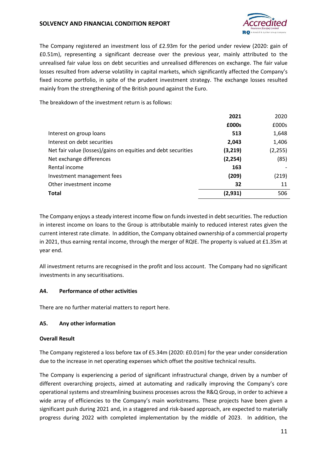### **SOLVENCY AND FINANCIAL CONDITION REPORT**



The Company registered an investment loss of £2.93m for the period under review (2020: gain of £0.51m), representing a significant decrease over the previous year, mainly attributed to the unrealised fair value loss on debt securities and unrealised differences on exchange. The fair value losses resulted from adverse volatility in capital markets, which significantly affected the Company's fixed income portfolio, in spite of the prudent investment strategy. The exchange losses resulted mainly from the strengthening of the British pound against the Euro.

The breakdown of the investment return is as follows:

|                                                               | 2021     | 2020     |
|---------------------------------------------------------------|----------|----------|
|                                                               | £000s    | £000s    |
| Interest on group loans                                       | 513      | 1,648    |
| Interest on debt securities                                   | 2,043    | 1,406    |
| Net fair value (losses)/gains on equities and debt securities | (3,219)  | (2, 255) |
| Net exchange differences                                      | (2, 254) | (85)     |
| Rental income                                                 | 163      |          |
| Investment management fees                                    | (209)    | (219)    |
| Other investment income                                       | 32       | 11       |
| <b>Total</b>                                                  | (2,931)  | 506      |

The Company enjoys a steady interest income flow on funds invested in debt securities. The reduction in interest income on loans to the Group is attributable mainly to reduced interest rates given the current interest rate climate. In addition, the Company obtained ownership of a commercial property in 2021, thus earning rental income, through the merger of RQIE. The property is valued at £1.35m at year end.

All investment returns are recognised in the profit and loss account. The Company had no significant investments in any securitisations.

#### **A4. Performance of other activities**

There are no further material matters to report here.

#### **A5. Any other information**

#### **Overall Result**

The Company registered a loss before tax of £5.34m (2020: £0.01m) for the year under consideration due to the increase in net operating expenses which offset the positive technical results.

The Company is experiencing a period of significant infrastructural change, driven by a number of different overarching projects, aimed at automating and radically improving the Company's core operational systems and streamlining business processes across the R&Q Group, in order to achieve a wide array of efficiencies to the Company's main workstreams. These projects have been given a significant push during 2021 and, in a staggered and risk-based approach, are expected to materially progress during 2022 with completed implementation by the middle of 2023. In addition, the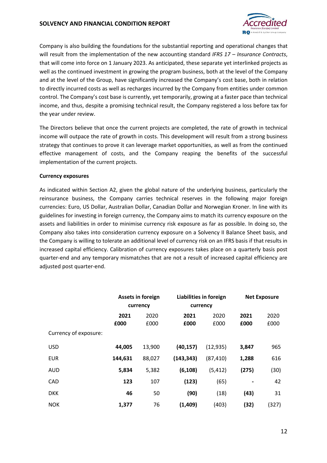### **SOLVENCY AND FINANCIAL CONDITION REPORT**



Company is also building the foundations for the substantial reporting and operational changes that will result from the implementation of the new accounting standard *IFRS 17 – Insurance Contracts*, that will come into force on 1 January 2023. As anticipated, these separate yet interlinked projects as well as the continued investment in growing the program business, both at the level of the Company and at the level of the Group, have significantly increased the Company's cost base, both in relation to directly incurred costs as well as recharges incurred by the Company from entities under common control. The Company's cost base is currently, yet temporarily, growing at a faster pace than technical income, and thus, despite a promising technical result, the Company registered a loss before tax for the year under review.

The Directors believe that once the current projects are completed, the rate of growth in technical income will outpace the rate of growth in costs. This development will result from a strong business strategy that continues to prove it can leverage market opportunities, as well as from the continued effective management of costs, and the Company reaping the benefits of the successful implementation of the current projects.

#### **Currency exposures**

As indicated within Section A2, given the global nature of the underlying business, particularly the reinsurance business, the Company carries technical reserves in the following major foreign currencies: Euro, US Dollar, Australian Dollar, Canadian Dollar and Norwegian Kroner. In line with its guidelines for investing in foreign currency, the Company aims to match its currency exposure on the assets and liabilities in order to minimise currency risk exposure as far as possible. In doing so, the Company also takes into consideration currency exposure on a Solvency II Balance Sheet basis, and the Company is willing to tolerate an additional level of currency risk on an IFRS basis if that results in increased capital efficiency. Calibration of currency exposures takes place on a quarterly basis post quarter-end and any temporary mismatches that are not a result of increased capital efficiency are adjusted post quarter-end.

|                       | Assets in foreign |          | Liabilities in foreign |           | <b>Net Exposure</b> |       |
|-----------------------|-------------------|----------|------------------------|-----------|---------------------|-------|
|                       |                   | currency |                        | currency  |                     |       |
|                       | 2021              | 2020     | 2021                   | 2020      | 2021                | 2020  |
|                       | £000              | £000     | £000                   | £000      | £000                | £000  |
| Currency of exposure: |                   |          |                        |           |                     |       |
| <b>USD</b>            | 44,005            | 13,900   | (40, 157)              | (12, 935) | 3,847               | 965   |
| <b>EUR</b>            | 144,631           | 88,027   | (143, 343)             | (87, 410) | 1,288               | 616   |
| <b>AUD</b>            | 5,834             | 5,382    | (6, 108)               | (5, 412)  | (275)               | (30)  |
| CAD                   | 123               | 107      | (123)                  | (65)      |                     | 42    |
| <b>DKK</b>            | 46                | 50       | (90)                   | (18)      | (43)                | 31    |
| <b>NOK</b>            | 1,377             | 76       | (1,409)                | (403)     | (32)                | (327) |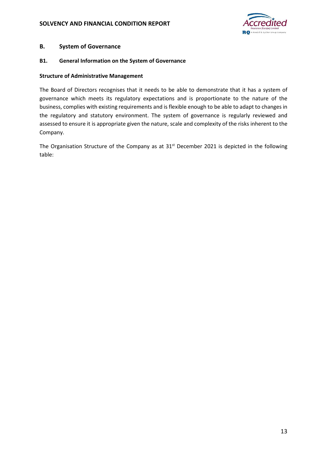

### **B. System of Governance**

#### **B1. General Information on the System of Governance**

#### **Structure of Administrative Management**

The Board of Directors recognises that it needs to be able to demonstrate that it has a system of governance which meets its regulatory expectations and is proportionate to the nature of the business, complies with existing requirements and is flexible enough to be able to adapt to changes in the regulatory and statutory environment. The system of governance is regularly reviewed and assessed to ensure it is appropriate given the nature, scale and complexity of the risks inherent to the Company.

The Organisation Structure of the Company as at 31<sup>st</sup> December 2021 is depicted in the following table: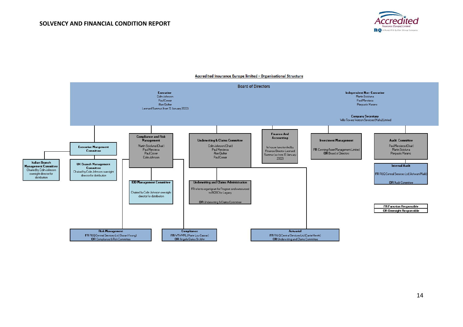



#### Accredited Insurance Europe limited - Organisational Structure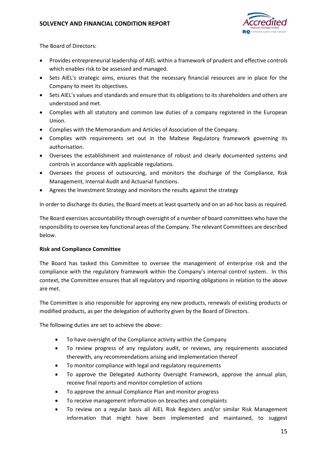

The Board of Directors:

- Provides entrepreneurial leadership of AIEL within a framework of prudent and effective controls which enables risk to be assessed and managed.
- Sets AIEL's strategic aims, ensures that the necessary financial resources are in place for the Company to meet its objectives.
- Sets AIEL's values and standards and ensure that its obligations to its shareholders and others are understood and met.
- Complies with all statutory and common law duties of a company registered in the European Union.
- Complies with the Memorandum and Articles of Association of the Company.
- Complies with requirements set out in the Maltese Regulatory framework governing its authorisation.
- Oversees the establishment and maintenance of robust and clearly documented systems and controls in accordance with applicable regulations.
- Oversees the process of outsourcing, and monitors the discharge of the Compliance, Risk Management, Internal Audit and Actuarial functions.
- Agrees the Investment Strategy and monitors the results against the strategy

In order to discharge its duties, the Board meets at least quarterly and on an ad-hoc basis as required.

The Board exercises accountability through oversight of a number of board committees who have the responsibility to oversee key functional areas of the Company. The relevant Committees are described below.

### **Risk and Compliance Committee**

The Board has tasked this Committee to oversee the management of enterprise risk and the compliance with the regulatory framework within the Company's internal control system. In this context, the Committee ensures that all regulatory and reporting obligations in relation to the above are met.

The Committee is also responsible for approving any new products, renewals of existing products or modified products, as per the delegation of authority given by the Board of Directors.

The following duties are set to achieve the above:

- To have oversight of the Compliance activity within the Company
- To review progress of any regulatory audit, or reviews, any requirements associated therewith, any recommendations arising and implementation thereof
- To monitor compliance with legal and regulatory requirements
- To approve the Delegated Authority Oversight Framework, approve the annual plan, receive final reports and monitor completion of actions
- To approve the annual Compliance Plan and monitor progress
- To receive management information on breaches and complaints
- To review on a regular basis all AIEL Risk Registers and/or similar Risk Management information that might have been implemented and maintained, to suggest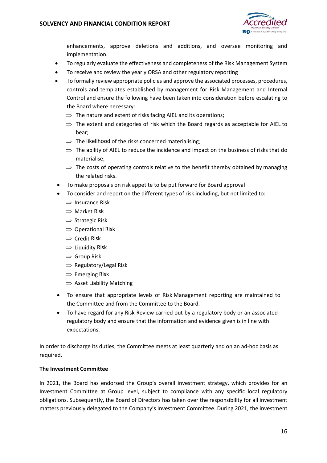

enhancements, approve deletions and additions, and oversee monitoring and implementation.

- To regularly evaluate the effectiveness and completeness of the Risk Management System
- To receive and review the yearly ORSA and other regulatory reporting
- To formally review appropriate policies and approve the associated processes, procedures, controls and templates established by management for Risk Management and Internal Control and ensure the following have been taken into consideration before escalating to the Board where necessary:
	- $\Rightarrow$  The nature and extent of risks facing AIEL and its operations;
	- $\Rightarrow$  The extent and categories of risk which the Board regards as acceptable for AIEL to bear;
	- $\Rightarrow$  The likelihood of the risks concerned materialising;
	- $\Rightarrow$  The ability of AIEL to reduce the incidence and impact on the business of risks that do materialise;
	- $\Rightarrow$  The costs of operating controls relative to the benefit thereby obtained by managing the related risks.
- To make proposals on risk appetite to be put forward for Board approval
- To consider and report on the different types of risk including, but not limited to:
	- $\Rightarrow$  Insurance Risk
	- $\Rightarrow$  Market Risk
	- $\Rightarrow$  Strategic Risk
	- $\Rightarrow$  Operational Risk
	- $\Rightarrow$  Credit Risk
	- $\Rightarrow$  Liquidity Risk
	- $\Rightarrow$  Group Risk
	- $\Rightarrow$  Regulatory/Legal Risk
	- $\Rightarrow$  Emerging Risk
	- $\Rightarrow$  Asset Liability Matching
- To ensure that appropriate levels of Risk Management reporting are maintained to the Committee and from the Committee to the Board.
- To have regard for any Risk Review carried out by a regulatory body or an associated regulatory body and ensure that the information and evidence given is in line with expectations.

In order to discharge its duties, the Committee meets at least quarterly and on an ad-hoc basis as required.

### **The Investment Committee**

In 2021, the Board has endorsed the Group's overall investment strategy, which provides for an Investment Committee at Group level, subject to compliance with any specific local regulatory obligations. Subsequently, the Board of Directors has taken over the responsibility for all investment matters previously delegated to the Company's Investment Committee. During 2021, the investment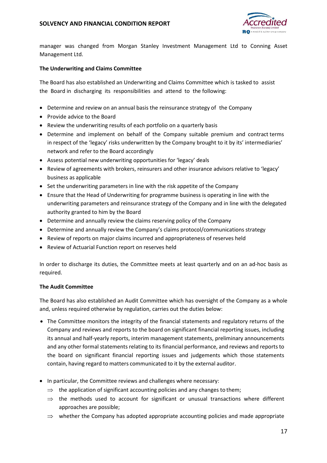

manager was changed from Morgan Stanley Investment Management Ltd to Conning Asset Management Ltd.

### **The Underwriting and Claims Committee**

The Board has also established an Underwriting and Claims Committee which is tasked to assist the Board in discharging its responsibilities and attend to the following:

- Determine and review on an annual basis the reinsurance strategy of the Company
- Provide advice to the Board
- Review the underwriting results of each portfolio on a quarterly basis
- Determine and implement on behalf of the Company suitable premium and contract terms in respect of the 'legacy' risks underwritten by the Company brought to it by its' intermediaries' network and refer to the Board accordingly
- Assess potential new underwriting opportunities for 'legacy' deals
- Review of agreements with brokers, reinsurers and other insurance advisors relative to 'legacy' business as applicable
- Set the underwriting parameters in line with the risk appetite of the Company
- Ensure that the Head of Underwriting for programme business is operating in line with the underwriting parameters and reinsurance strategy of the Company and in line with the delegated authority granted to him by the Board
- Determine and annually review the claims reserving policy of the Company
- Determine and annually review the Company's claims protocol/communications strategy
- Review of reports on major claims incurred and appropriateness of reserves held
- Review of Actuarial Function report on reserves held

In order to discharge its duties, the Committee meets at least quarterly and on an ad-hoc basis as required.

#### **The Audit Committee**

The Board has also established an Audit Committee which has oversight of the Company as a whole and, unless required otherwise by regulation, carries out the duties below:

- The Committee monitors the integrity of the financial statements and regulatory returns of the Company and reviews and reports to the board on significant financial reporting issues, including its annual and half-yearly reports, interim management statements, preliminary announcements and any other formal statements relating to its financial performance, and reviews and reports to the board on significant financial reporting issues and judgements which those statements contain, having regard to matters communicated to it by the external auditor.
- In particular, the Committee reviews and challenges where necessary:
	- $\Rightarrow$  the application of significant accounting policies and any changes to them;
	- $\Rightarrow$  the methods used to account for significant or unusual transactions where different approaches are possible;
	- $\Rightarrow$  whether the Company has adopted appropriate accounting policies and made appropriate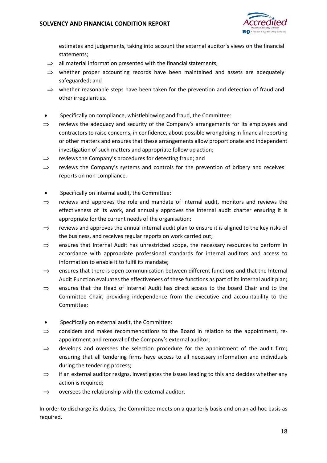

estimates and judgements, taking into account the external auditor's views on the financial statements;

- $\Rightarrow$  all material information presented with the financial statements;
- $\Rightarrow$  whether proper accounting records have been maintained and assets are adequately safeguarded; and
- $\Rightarrow$  whether reasonable steps have been taken for the prevention and detection of fraud and other irregularities.
- Specifically on compliance, whistleblowing and fraud, the Committee:
- $\Rightarrow$  reviews the adequacy and security of the Company's arrangements for its employees and contractors to raise concerns, in confidence, about possible wrongdoing in financial reporting or other matters and ensures that these arrangements allow proportionate and independent investigation of such matters and appropriate follow up action;
- $\Rightarrow$  reviews the Company's procedures for detecting fraud; and
- $\Rightarrow$  reviews the Company's systems and controls for the prevention of bribery and receives reports on non-compliance.
- Specifically on internal audit, the Committee:
- $\Rightarrow$  reviews and approves the role and mandate of internal audit, monitors and reviews the effectiveness of its work, and annually approves the internal audit charter ensuring it is appropriate for the current needs of the organisation;
- $\Rightarrow$  reviews and approves the annual internal audit plan to ensure it is aligned to the key risks of the business, and receives regular reports on work carried out;
- $\Rightarrow$  ensures that Internal Audit has unrestricted scope, the necessary resources to perform in accordance with appropriate professional standards for internal auditors and access to information to enable it to fulfil its mandate;
- $\Rightarrow$  ensures that there is open communication between different functions and that the Internal Audit Function evaluates the effectiveness of these functions as part of its internal audit plan;
- $\Rightarrow$  ensures that the Head of Internal Audit has direct access to the board Chair and to the Committee Chair, providing independence from the executive and accountability to the Committee;
- Specifically on external audit, the Committee:
- $\Rightarrow$  considers and makes recommendations to the Board in relation to the appointment, reappointment and removal of the Company's external auditor;
- $\Rightarrow$  develops and oversees the selection procedure for the appointment of the audit firm; ensuring that all tendering firms have access to all necessary information and individuals during the tendering process;
- $\Rightarrow$  if an external auditor resigns, investigates the issues leading to this and decides whether any action is required;
- $\Rightarrow$  oversees the relationship with the external auditor.

In order to discharge its duties, the Committee meets on a quarterly basis and on an ad-hoc basis as required.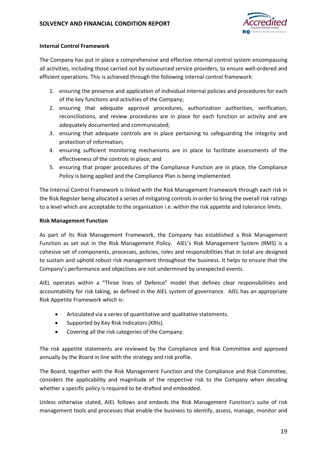

### **Internal Control Framework**

The Company has put in place a comprehensive and effective internal control system encompassing all activities, including those carried out by outsourced service providers, to ensure well-ordered and efficient operations. This is achieved through the following internal control framework:

- 1. ensuring the presence and application of individual internal policies and procedures for each of the key functions and activities of the Company;
- 2. ensuring that adequate approval procedures, authorization authorities, verification, reconciliations, and review procedures are in place for each function or activity and are adequately documented and communicated;
- 3. ensuring that adequate controls are in place pertaining to safeguarding the integrity and protection of information;
- 4. ensuring sufficient monitoring mechanisms are in place to facilitate assessments of the effectiveness of the controls in place; and
- 5. ensuring that proper procedures of the Compliance Function are in place, the Compliance Policy is being applied and the Compliance Plan is being implemented.

The Internal Control Framework is linked with the Risk Management Framework through each risk in the Risk Register being allocated a series of mitigating controls in order to bring the overall risk ratings to a level which are acceptable to the organisation i.e. within the risk appetite and tolerance limits.

### **Risk Management Function**

As part of its Risk Management Framework, the Company has established a Risk Management Function as set out in the Risk Management Policy. AIEL's Risk Management System (RMS) is a cohesive set of components, processes, policies, roles and responsibilities that in total are designed to sustain and uphold robust risk management throughout the business. It helps to ensure that the Company's performance and objectives are not undermined by unexpected events.

AIEL operates within a "Three lines of Defence" model that defines clear responsibilities and accountability for risk taking, as defined in the AIEL system of governance. AIEL has an appropriate Risk Appetite Framework which is:

- Articulated via a series of quantitative and qualitative statements.
- Supported by Key Risk Indicators (KRIs).
- Covering all the risk categories of the Company.

The risk appetite statements are reviewed by the Compliance and Risk Committee and approved annually by the Board in line with the strategy and risk profile.

The Board, together with the Risk Management Function and the Compliance and Risk Committee, considers the applicability and magnitude of the respective risk to the Company when deciding whether a specific policy is required to be drafted and embedded.

Unless otherwise stated, AIEL follows and embeds the Risk Management Function's suite of risk management tools and processes that enable the business to identify, assess, manage, monitor and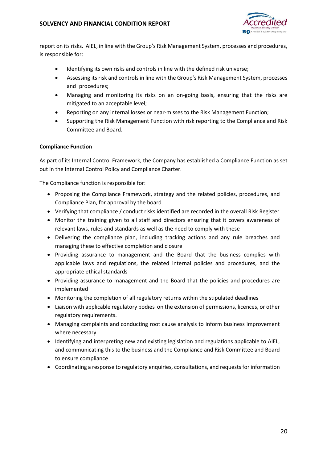

report on its risks. AIEL, in line with the Group's Risk Management System, processes and procedures, is responsible for:

- Identifying its own risks and controls in line with the defined risk universe;
- Assessing its risk and controls in line with the Group's Risk Management System, processes and procedures;
- Managing and monitoring its risks on an on-going basis, ensuring that the risks are mitigated to an acceptable level;
- Reporting on any internal losses or near-misses to the Risk Management Function;
- Supporting the Risk Management Function with risk reporting to the Compliance and Risk Committee and Board.

### **Compliance Function**

As part of its Internal Control Framework, the Company has established a Compliance Function as set out in the Internal Control Policy and Compliance Charter.

The Compliance function is responsible for:

- Proposing the Compliance Framework, strategy and the related policies, procedures, and Compliance Plan, for approval by the board
- Verifying that compliance / conduct risks identified are recorded in the overall Risk Register
- Monitor the training given to all staff and directors ensuring that it covers awareness of relevant laws, rules and standards as well as the need to comply with these
- Delivering the compliance plan, including tracking actions and any rule breaches and managing these to effective completion and closure
- Providing assurance to management and the Board that the business complies with applicable laws and regulations, the related internal policies and procedures, and the appropriate ethical standards
- Providing assurance to management and the Board that the policies and procedures are implemented
- Monitoring the completion of all regulatory returns within the stipulated deadlines
- Liaison with applicable regulatory bodies on the extension of permissions, licences, or other regulatory requirements.
- Managing complaints and conducting root cause analysis to inform business improvement where necessary
- Identifying and interpreting new and existing legislation and regulations applicable to AIEL, and communicating this to the business and the Compliance and Risk Committee and Board to ensure compliance
- Coordinating a response to regulatory enquiries, consultations, and requests for information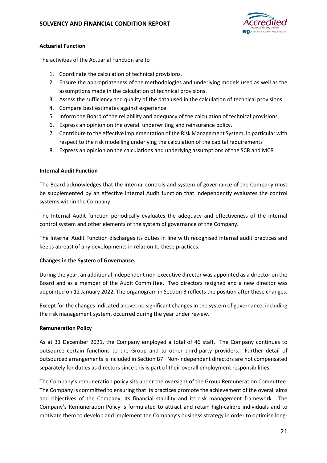

### **Actuarial Function**

The activities of the Actuarial Function are to :

- 1. Coordinate the calculation of technical provisions.
- 2. Ensure the appropriateness of the methodologies and underlying models used as well as the assumptions made in the calculation of technical provisions.
- 3. Assess the sufficiency and quality of the data used in the calculation of technical provisions.
- 4. Compare best estimates against experience.
- 5. Inform the Board of the reliability and adequacy of the calculation of technical provisions
- 6. Express an opinion on the overall underwriting and reinsurance policy.
- 7. Contribute to the effective implementation of the Risk Management System, in particular with respect to the risk modelling underlying the calculation of the capital requirements
- 8. Express an opinion on the calculations and underlying assumptions of the SCR and MCR

### **Internal Audit Function**

The Board acknowledges that the internal controls and system of governance of the Company must be supplemented by an effective Internal Audit function that independently evaluates the control systems within the Company.

The Internal Audit function periodically evaluates the adequacy and effectiveness of the internal control system and other elements of the system of governance of the Company.

The Internal Audit Function discharges its duties in line with recognised internal audit practices and keeps abreast of any developments in relation to these practices.

### **Changes in the System of Governance.**

During the year, an additional independent non-executive director was appointed as a director on the Board and as a member of the Audit Committee. Two directors resigned and a new director was appointed on 12 January 2022. The organogram in Section B reflects the position after these changes.

Except for the changes indicated above, no significant changes in the system of governance, including the risk management system, occurred during the year under review.

### **Remuneration Policy**

As at 31 December 2021, the Company employed a total of 46 staff. The Company continues to outsource certain functions to the Group and to other third-party providers. Further detail of outsourced arrangements is included in Section B7. Non-independent directors are not compensated separately for duties as directors since this is part of their overall employment responsibilities.

The Company's remuneration policy sits under the oversight of the Group Remuneration Committee. The Company is committed to ensuring that its practices promote the achievement of the overall aims and objectives of the Company, its financial stability and its risk management framework. The Company's Remuneration Policy is formulated to attract and retain high-calibre individuals and to motivate them to develop and implement the Company's business strategy in order to optimise long-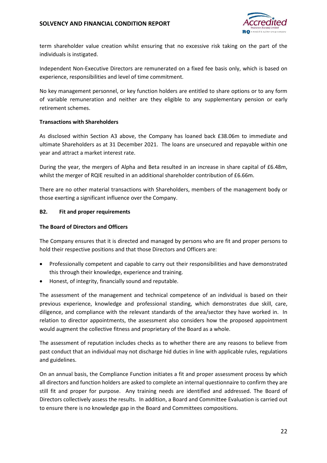

term shareholder value creation whilst ensuring that no excessive risk taking on the part of the individuals is instigated.

Independent Non-Executive Directors are remunerated on a fixed fee basis only, which is based on experience, responsibilities and level of time commitment.

No key management personnel, or key function holders are entitled to share options or to any form of variable remuneration and neither are they eligible to any supplementary pension or early retirement schemes.

### **Transactions with Shareholders**

As disclosed within Section A3 above, the Company has loaned back £38.06m to immediate and ultimate Shareholders as at 31 December 2021. The loans are unsecured and repayable within one year and attract a market interest rate.

During the year, the mergers of Alpha and Beta resulted in an increase in share capital of £6.48m, whilst the merger of RQIE resulted in an additional shareholder contribution of £6.66m.

There are no other material transactions with Shareholders, members of the management body or those exerting a significant influence over the Company.

### **B2. Fit and proper requirements**

### **The Board of Directors and Officers**

The Company ensures that it is directed and managed by persons who are fit and proper persons to hold their respective positions and that those Directors and Officers are:

- Professionally competent and capable to carry out their responsibilities and have demonstrated this through their knowledge, experience and training.
- Honest, of integrity, financially sound and reputable.

The assessment of the management and technical competence of an individual is based on their previous experience, knowledge and professional standing, which demonstrates due skill, care, diligence, and compliance with the relevant standards of the area/sector they have worked in. In relation to director appointments, the assessment also considers how the proposed appointment would augment the collective fitness and proprietary of the Board as a whole.

The assessment of reputation includes checks as to whether there are any reasons to believe from past conduct that an individual may not discharge hid duties in line with applicable rules, regulations and guidelines.

On an annual basis, the Compliance Function initiates a fit and proper assessment process by which all directors and function holders are asked to complete an internal questionnaire to confirm they are still fit and proper for purpose. Any training needs are identified and addressed. The Board of Directors collectively assess the results. In addition, a Board and Committee Evaluation is carried out to ensure there is no knowledge gap in the Board and Committees compositions.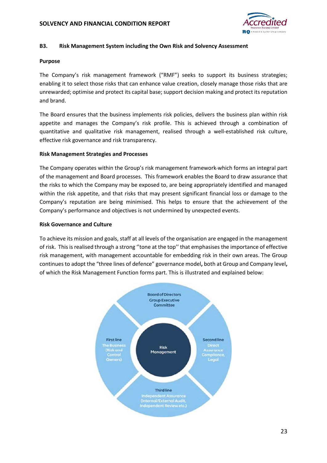

#### **B3. Risk Management System including the Own Risk and Solvency Assessment**

#### **Purpose**

The Company's risk management framework ("RMF") seeks to support its business strategies; enabling it to select those risks that can enhance value creation, closely manage those risks that are unrewarded; optimise and protect its capital base; support decision making and protect its reputation and brand.

The Board ensures that the business implements risk policies, delivers the business plan within risk appetite and manages the Company's risk profile. This is achieved through a combination of quantitative and qualitative risk management, realised through a well-established risk culture, effective risk governance and risk transparency.

#### **Risk Management Strategies and Processes**

The Company operates within the Group's risk management framework which forms an integral part of the management and Board processes. This framework enables the Board to draw assurance that the risks to which the Company may be exposed to, are being appropriately identified and managed within the risk appetite, and that risks that may present significant financial loss or damage to the Company's reputation are being minimised. This helps to ensure that the achievement of the Company's performance and objectives is not undermined by unexpected events.

#### **Risk Governance and Culture**

To achieve its mission and goals, staff at all levels of the organisation are engaged in the management of risk. This is realised through a strong ''tone at the top'' that emphasises the importance of effective risk management, with management accountable for embedding risk in their own areas. The Group continues to adopt the "three lines of defence" governance model**,** both at Group and Company level**,**  of which the Risk Management Function forms part. This is illustrated and explained below:

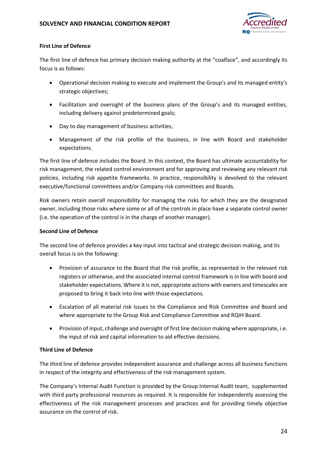

### **First Line of Defence**

The first line of defence has primary decision making authority at the "coalface", and accordingly its focus is as follows:

- Operational decision making to execute and implement the Group's and its managed entity's strategic objectives;
- Facilitation and oversight of the business plans of the Group's and its managed entities, including delivery against predetermined goals;
- Day to day management of business activities;
- Management of the risk profile of the business, in line with Board and stakeholder expectations.

The first line of defence includes the Board. In this context, the Board has ultimate accountability for risk management, the related control environment and for approving and reviewing any relevant risk policies, including risk appetite frameworks. In practice, responsibility is devolved to the relevant executive/functional committees and/or Company risk committees and Boards.

Risk owners retain overall responsibility for managing the risks for which they are the designated owner, including those risks where some or all of the controls in place have a separate control owner (i.e. the operation of the control is in the charge of another manager).

### **Second Line of Defence**

The second line of defence provides a key input into tactical and strategic decision making, and its overall focus is on the following:

- Provision of assurance to the Board that the risk profile, as represented in the relevant risk registers or otherwise, and the associated internal control framework is in line with board and stakeholder expectations. Where it is not, appropriate actions with owners and timescales are proposed to bring it back into line with those expectations.
- Escalation of all material risk issues to the Compliance and Risk Committee and Board and where appropriate to the Group Risk and Compliance Committee and RQIH Board.
- Provision of input, challenge and oversight of first line decision making where appropriate, i.e. the input of risk and capital information to aid effective decisions.

### **Third Line of Defence**

The third line of defence provides independent assurance and challenge across all business functions in respect of the integrity and effectiveness of the risk management system.

The Company's Internal Audit Function is provided by the Group Internal Audit team, supplemented with third party professional resources as required. It is responsible for independently assessing the effectiveness of the risk management processes and practices and for providing timely objective assurance on the control of risk.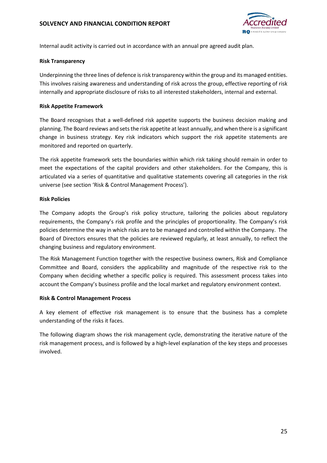

Internal audit activity is carried out in accordance with an annual pre agreed audit plan.

### **Risk Transparency**

Underpinning the three lines of defence is risk transparency within the group and its managed entities. This involves raising awareness and understanding of risk across the group, effective reporting of risk internally and appropriate disclosure of risks to all interested stakeholders, internal and external.

### **Risk Appetite Framework**

The Board recognises that a well-defined risk appetite supports the business decision making and planning. The Board reviews and sets the risk appetite at least annually, and when there is a significant change in business strategy. Key risk indicators which support the risk appetite statements are monitored and reported on quarterly.

The risk appetite framework sets the boundaries within which risk taking should remain in order to meet the expectations of the capital providers and other stakeholders. For the Company, this is articulated via a series of quantitative and qualitative statements covering all categories in the risk universe (see section 'Risk & Control Management Process').

### **Risk Policies**

The Company adopts the Group's risk policy structure, tailoring the policies about regulatory requirements, the Company's risk profile and the principles of proportionality. The Company's risk policies determine the way in which risks are to be managed and controlled within the Company. The Board of Directors ensures that the policies are reviewed regularly, at least annually, to reflect the changing business and regulatory environment.

The Risk Management Function together with the respective business owners, Risk and Compliance Committee and Board, considers the applicability and magnitude of the respective risk to the Company when deciding whether a specific policy is required. This assessment process takes into account the Company's business profile and the local market and regulatory environment context.

### **Risk & Control Management Process**

A key element of effective risk management is to ensure that the business has a complete understanding of the risks it faces.

The following diagram shows the risk management cycle, demonstrating the iterative nature of the risk management process, and is followed by a high-level explanation of the key steps and processes involved.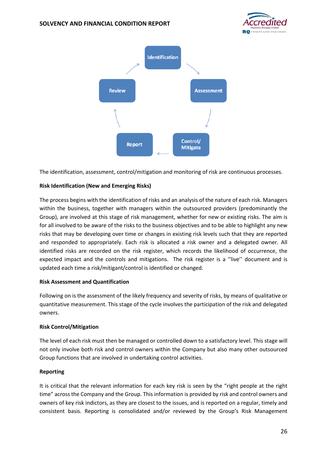



The identification, assessment, control/mitigation and monitoring of risk are continuous processes.

### **Risk Identification (New and Emerging Risks)**

The process begins with the identification of risks and an analysis of the nature of each risk. Managers within the business, together with managers within the outsourced providers (predominantly the Group), are involved at this stage of risk management, whether for new or existing risks. The aim is for all involved to be aware of the risks to the business objectives and to be able to highlight any new risks that may be developing over time or changes in existing risk levels such that they are reported and responded to appropriately. Each risk is allocated a risk owner and a delegated owner. All identified risks are recorded on the risk register, which records the likelihood of occurrence, the expected impact and the controls and mitigations. The risk register is a "live" document and is updated each time a risk/mitigant/control is identified or changed.

#### **Risk Assessment and Quantification**

Following on is the assessment of the likely frequency and severity of risks, by means of qualitative or quantitative measurement. This stage of the cycle involves the participation of the risk and delegated owners.

#### **Risk Control/Mitigation**

The level of each risk must then be managed or controlled down to a satisfactory level. This stage will not only involve both risk and control owners within the Company but also many other outsourced Group functions that are involved in undertaking control activities.

#### **Reporting**

It is critical that the relevant information for each key risk is seen by the "right people at the right time" across the Company and the Group. This information is provided by risk and control owners and owners of key risk indictors, as they are closest to the issues, and is reported on a regular, timely and consistent basis. Reporting is consolidated and/or reviewed by the Group's Risk Management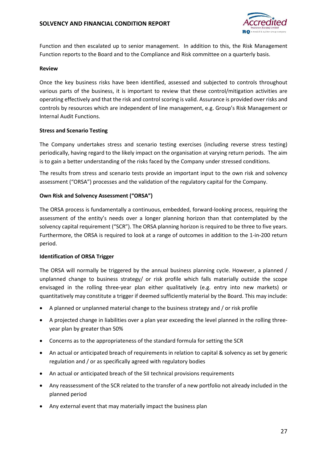

Function and then escalated up to senior management. In addition to this, the Risk Management Function reports to the Board and to the Compliance and Risk committee on a quarterly basis.

#### **Review**

Once the key business risks have been identified, assessed and subjected to controls throughout various parts of the business, it is important to review that these control/mitigation activities are operating effectively and that the risk and control scoring is valid. Assurance is provided over risks and controls by resources which are independent of line management, e.g. Group's Risk Management or Internal Audit Functions.

#### **Stress and Scenario Testing**

The Company undertakes stress and scenario testing exercises (including reverse stress testing) periodically, having regard to the likely impact on the organisation at varying return periods. The aim is to gain a better understanding of the risks faced by the Company under stressed conditions.

The results from stress and scenario tests provide an important input to the own risk and solvency assessment ("ORSA") processes and the validation of the regulatory capital for the Company.

#### **Own Risk and Solvency Assessment ("ORSA")**

The ORSA process is fundamentally a continuous, embedded, forward-looking process, requiring the assessment of the entity's needs over a longer planning horizon than that contemplated by the solvency capital requirement ("SCR"). The ORSA planning horizon is required to be three to five years. Furthermore, the ORSA is required to look at a range of outcomes in addition to the 1-in-200 return period.

#### **Identification of ORSA Trigger**

The ORSA will normally be triggered by the annual business planning cycle. However, a planned / unplanned change to business strategy/ or risk profile which falls materially outside the scope envisaged in the rolling three-year plan either qualitatively (e.g. entry into new markets) or quantitatively may constitute a trigger if deemed sufficiently material by the Board. This may include:

- A planned or unplanned material change to the business strategy and / or risk profile
- A projected change in liabilities over a plan year exceeding the level planned in the rolling threeyear plan by greater than 50%
- Concerns as to the appropriateness of the standard formula for setting the SCR
- An actual or anticipated breach of requirements in relation to capital & solvency as set by generic regulation and / or as specifically agreed with regulatory bodies
- An actual or anticipated breach of the SII technical provisions requirements
- Any reassessment of the SCR related to the transfer of a new portfolio not already included in the planned period
- Any external event that may materially impact the business plan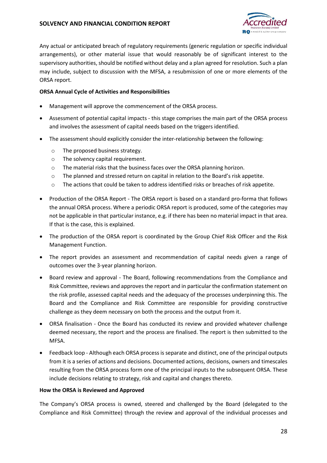

Any actual or anticipated breach of regulatory requirements (generic regulation or specific individual arrangements), or other material issue that would reasonably be of significant interest to the supervisory authorities, should be notified without delay and a plan agreed for resolution. Such a plan may include, subject to discussion with the MFSA, a resubmission of one or more elements of the ORSA report.

### **ORSA Annual Cycle of Activities and Responsibilities**

- Management will approve the commencement of the ORSA process.
- Assessment of potential capital impacts this stage comprises the main part of the ORSA process and involves the assessment of capital needs based on the triggers identified.
- The assessment should explicitly consider the inter-relationship between the following:
	- o The proposed business strategy.
	- o The solvency capital requirement.
	- o The material risks that the business faces over the ORSA planning horizon.
	- o The planned and stressed return on capital in relation to the Board's risk appetite.
	- o The actions that could be taken to address identified risks or breaches of risk appetite.
- Production of the ORSA Report The ORSA report is based on a standard pro-forma that follows the annual ORSA process. Where a periodic ORSA report is produced, some of the categories may not be applicable in that particular instance, e.g. if there has been no material impact in that area. If that is the case, this is explained.
- The production of the ORSA report is coordinated by the Group Chief Risk Officer and the Risk Management Function.
- The report provides an assessment and recommendation of capital needs given a range of outcomes over the 3-year planning horizon.
- Board review and approval The Board, following recommendations from the Compliance and Risk Committee, reviews and approves the report and in particular the confirmation statement on the risk profile, assessed capital needs and the adequacy of the processes underpinning this. The Board and the Compliance and Risk Committee are responsible for providing constructive challenge as they deem necessary on both the process and the output from it.
- ORSA finalisation Once the Board has conducted its review and provided whatever challenge deemed necessary, the report and the process are finalised. The report is then submitted to the MFSA.
- Feedback loop Although each ORSA process is separate and distinct, one of the principal outputs from it is a series of actions and decisions. Documented actions, decisions, owners and timescales resulting from the ORSA process form one of the principal inputs to the subsequent ORSA. These include decisions relating to strategy, risk and capital and changes thereto.

#### **How the ORSA is Reviewed and Approved**

The Company's ORSA process is owned, steered and challenged by the Board (delegated to the Compliance and Risk Committee) through the review and approval of the individual processes and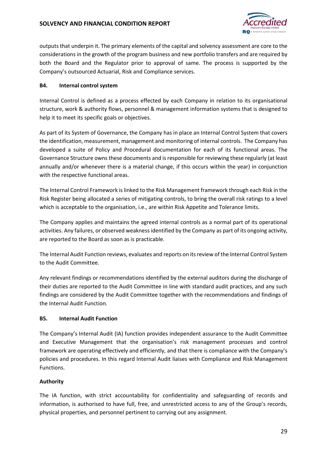

outputs that underpin it. The primary elements of the capital and solvency assessment are core to the considerations in the growth of the program business and new portfolio transfers and are required by both the Board and the Regulator prior to approval of same. The process is supported by the Company's outsourced Actuarial, Risk and Compliance services.

### **B4. Internal control system**

Internal Control is defined as a process effected by each Company in relation to its organisational structure, work & authority flows, personnel & management information systems that is designed to help it to meet its specific goals or objectives.

As part of its System of Governance, the Company has in place an Internal Control System that covers the identification, measurement, management and monitoring of internal controls. The Company has developed a suite of Policy and Procedural documentation for each of its functional areas. The Governance Structure owns these documents and is responsible for reviewing these regularly (at least annually and/or whenever there is a material change, if this occurs within the year) in conjunction with the respective functional areas.

The Internal Control Framework is linked to the Risk Management framework through each Risk in the Risk Register being allocated a series of mitigating controls, to bring the overall risk ratings to a level which is acceptable to the organisation, i.e., are within Risk Appetite and Tolerance limits.

The Company applies and maintains the agreed internal controls as a normal part of its operational activities. Any failures, or observed weakness identified by the Company as part of its ongoing activity, are reported to the Board as soon as is practicable.

The Internal Audit Function reviews, evaluates and reports on its review of the Internal Control System to the Audit Committee.

Any relevant findings or recommendations identified by the external auditors during the discharge of their duties are reported to the Audit Committee in line with standard audit practices, and any such findings are considered by the Audit Committee together with the recommendations and findings of the Internal Audit Function.

### **B5. Internal Audit Function**

The Company's Internal Audit (IA) function provides independent assurance to the Audit Committee and Executive Management that the organisation's risk management processes and control framework are operating effectively and efficiently, and that there is compliance with the Company's policies and procedures. In this regard Internal Audit liaises with Compliance and Risk Management Functions.

### **Authority**

The IA function, with strict accountability for confidentiality and safeguarding of records and information, is authorised to have full, free, and unrestricted access to any of the Group's records, physical properties, and personnel pertinent to carrying out any assignment.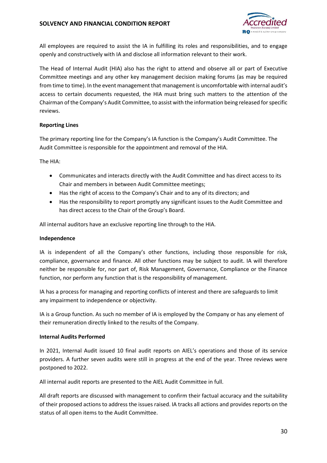

All employees are required to assist the IA in fulfilling its roles and responsibilities, and to engage openly and constructively with IA and disclose all information relevant to their work.

The Head of Internal Audit (HIA) also has the right to attend and observe all or part of Executive Committee meetings and any other key management decision making forums (as may be required from time to time). In the event management that management is uncomfortable with internal audit's access to certain documents requested, the HIA must bring such matters to the attention of the Chairman of the Company's Audit Committee, to assist with the information being released for specific reviews.

### **Reporting Lines**

The primary reporting line for the Company's IA function is the Company's Audit Committee. The Audit Committee is responsible for the appointment and removal of the HIA.

The HIA:

- Communicates and interacts directly with the Audit Committee and has direct access to its Chair and members in between Audit Committee meetings;
- Has the right of access to the Company's Chair and to any of its directors; and
- Has the responsibility to report promptly any significant issues to the Audit Committee and has direct access to the Chair of the Group's Board.

All internal auditors have an exclusive reporting line through to the HIA.

#### **Independence**

IA is independent of all the Company's other functions, including those responsible for risk, compliance, governance and finance. All other functions may be subject to audit. IA will therefore neither be responsible for, nor part of, Risk Management, Governance, Compliance or the Finance function, nor perform any function that is the responsibility of management.

IA has a process for managing and reporting conflicts of interest and there are safeguards to limit any impairment to independence or objectivity.

IA is a Group function. As such no member of IA is employed by the Company or has any element of their remuneration directly linked to the results of the Company.

### **Internal Audits Performed**

In 2021, Internal Audit issued 10 final audit reports on AIEL's operations and those of its service providers. A further seven audits were still in progress at the end of the year. Three reviews were postponed to 2022.

All internal audit reports are presented to the AIEL Audit Committee in full.

All draft reports are discussed with management to confirm their factual accuracy and the suitability of their proposed actions to address the issues raised. IA tracks all actions and provides reports on the status of all open items to the Audit Committee.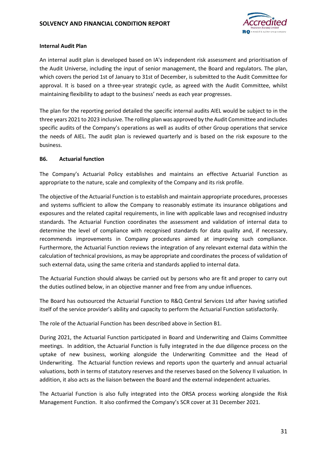

### **Internal Audit Plan**

An internal audit plan is developed based on IA's independent risk assessment and prioritisation of the Audit Universe, including the input of senior management, the Board and regulators. The plan, which covers the period 1st of January to 31st of December, is submitted to the Audit Committee for approval. It is based on a three-year strategic cycle, as agreed with the Audit Committee, whilst maintaining flexibility to adapt to the business' needs as each year progresses.

The plan for the reporting period detailed the specific internal audits AIEL would be subject to in the three years 2021 to 2023 inclusive. The rolling plan was approved by the Audit Committee and includes specific audits of the Company's operations as well as audits of other Group operations that service the needs of AIEL. The audit plan is reviewed quarterly and is based on the risk exposure to the business.

### **B6. Actuarial function**

The Company's Actuarial Policy establishes and maintains an effective Actuarial Function as appropriate to the nature, scale and complexity of the Company and its risk profile.

The objective of the Actuarial Function is to establish and maintain appropriate procedures, processes and systems sufficient to allow the Company to reasonably estimate its insurance obligations and exposures and the related capital requirements, in line with applicable laws and recognised industry standards. The Actuarial Function coordinates the assessment and validation of internal data to determine the level of compliance with recognised standards for data quality and, if necessary, recommends improvements in Company procedures aimed at improving such compliance. Furthermore, the Actuarial Function reviews the integration of any relevant external data within the calculation of technical provisions, as may be appropriate and coordinates the process of validation of such external data, using the same criteria and standards applied to internal data.

The Actuarial Function should always be carried out by persons who are fit and proper to carry out the duties outlined below, in an objective manner and free from any undue influences.

The Board has outsourced the Actuarial Function to R&Q Central Services Ltd after having satisfied itself of the service provider's ability and capacity to perform the Actuarial Function satisfactorily.

The role of the Actuarial Function has been described above in Section B1.

During 2021, the Actuarial Function participated in Board and Underwriting and Claims Committee meetings. In addition, the Actuarial Function is fully integrated in the due diligence process on the uptake of new business, working alongside the Underwriting Committee and the Head of Underwriting. The Actuarial function reviews and reports upon the quarterly and annual actuarial valuations, both in terms of statutory reserves and the reserves based on the Solvency II valuation. In addition, it also acts as the liaison between the Board and the external independent actuaries.

The Actuarial Function is also fully integrated into the ORSA process working alongside the Risk Management Function. It also confirmed the Company's SCR cover at 31 December 2021.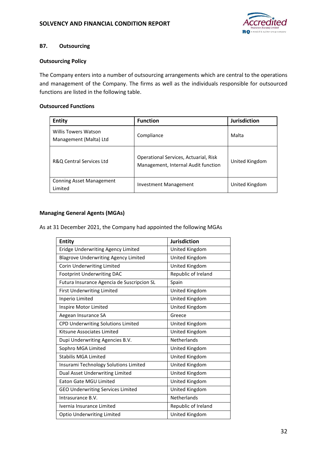

## **B7. Outsourcing**

### **Outsourcing Policy**

The Company enters into a number of outsourcing arrangements which are central to the operations and management of the Company. The firms as well as the individuals responsible for outsourced functions are listed in the following table.

### **Outsourced Functions**

| <b>Entity</b>                                         | <b>Function</b>                                                              | <b>Jurisdiction</b> |
|-------------------------------------------------------|------------------------------------------------------------------------------|---------------------|
| <b>Willis Towers Watson</b><br>Management (Malta) Ltd | Compliance                                                                   | Malta               |
| R&Q Central Services Ltd                              | Operational Services, Actuarial, Risk<br>Management, Internal Audit function | United Kingdom      |
| <b>Conning Asset Management</b><br>Limited            | Investment Management                                                        | United Kingdom      |

### **Managing General Agents (MGAs)**

As at 31 December 2021, the Company had appointed the following MGAs

| <b>Entity</b>                               | <b>Jurisdiction</b> |
|---------------------------------------------|---------------------|
| Eridge Underwriting Agency Limited          | United Kingdom      |
| <b>Blagrove Underwriting Agency Limited</b> | United Kingdom      |
| Corin Underwriting Limited                  | United Kingdom      |
| <b>Footprint Underwriting DAC</b>           | Republic of Ireland |
| Futura Insurance Agencia de Suscripcion SL  | Spain               |
| <b>First Underwriting Limited</b>           | United Kingdom      |
| Inperio Limited                             | United Kingdom      |
| Inspire Motor Limited                       | United Kingdom      |
| Aegean Insurance SA                         | Greece              |
| CPD Underwriting Solutions Limited          | United Kingdom      |
| Kitsune Associates Limited                  | United Kingdom      |
| Dupi Underwriting Agencies B.V.             | <b>Netherlands</b>  |
| Sophro MGA Limited                          | United Kingdom      |
| <b>Stabilis MGA Limited</b>                 | United Kingdom      |
| Insurami Technology Solutions Limited       | United Kingdom      |
| Dual Asset Underwriting Limited             | United Kingdom      |
| <b>Eaton Gate MGU Limited</b>               | United Kingdom      |
| <b>GEO Underwriting Services Limited</b>    | United Kingdom      |
| Intrasurance B.V.                           | <b>Netherlands</b>  |
| Ivernia Insurance Limited                   | Republic of Ireland |
| <b>Optio Underwriting Limited</b>           | United Kingdom      |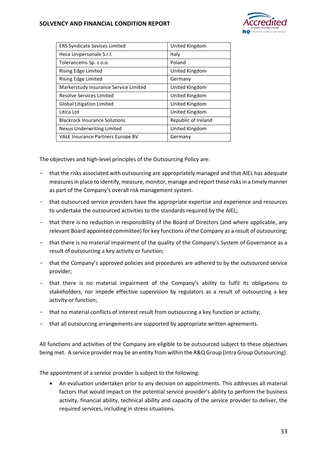

| <b>ERS Syndicate Sevices Limited</b>     | United Kingdom      |
|------------------------------------------|---------------------|
| Heca Unipersonale S.r.l.                 | Italy               |
| Tolerancelns Sp. z o.o.                  | Poland              |
| Rising Edge Limited                      | United Kingdom      |
| <b>Rising Edge Limited</b>               | Germany             |
| Markerstudy Insurance Service Limited    | United Kingdom      |
| <b>Resolve Services Limited</b>          | United Kingdom      |
| <b>Global Litigation Limited</b>         | United Kingdom      |
| Litica Ltd                               | United Kingdom      |
| <b>Blackrock Insurance Solutions</b>     | Republic of Ireland |
| Nexus Underwriting Limited               | United Kingdom      |
| <b>VALE Insurance Partners Europe BV</b> | Germany             |

The objectives and high-level principles of the Outsourcing Policy are:

- that the risks associated with outsourcing are appropriately managed and that AIEL has adequate measures in place to identify, measure, monitor, manage and report these risks in a timely manner as part of the Company's overall risk management system.
- that outsourced service providers have the appropriate expertise and experience and resources to undertake the outsourced activities to the standards required by the AIEL;
- that there is no reduction in responsibility of the Board of Directors (and where applicable, any relevant Board appointed committee) for key functions of the Company as a result of outsourcing;
- that there is no material impairment of the quality of the Company's System of Governance as a result of outsourcing a key activity or function;
- that the Company's approved policies and procedures are adhered to by the outsourced service provider;
- that there is no material impairment of the Company's ability to fulfil its obligations to stakeholders, nor impede effective supervision by regulators as a result of outsourcing a key activity or function;
- that no material conflicts of interest result from outsourcing a key function or activity;
- that all outsourcing arrangements are supported by appropriate written agreements.

All functions and activities of the Company are eligible to be outsourced subject to these objectives being met. A service provider may be an entity from within the R&Q Group (Intra Group Outsourcing).

The appointment of a service provider is subject to the following:

 An evaluation undertaken prior to any decision on appointments. This addresses all material factors that would impact on the potential service provider's ability to perform the business activity, financial ability, technical ability and capacity of the service provider to deliver, the required services, including in stress situations.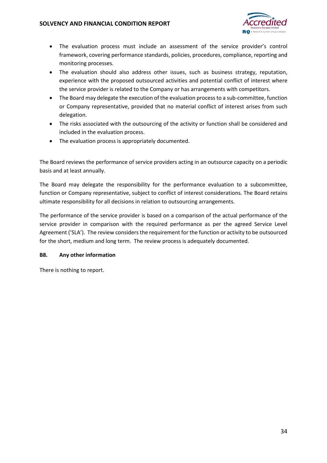

- The evaluation process must include an assessment of the service provider's control framework, covering performance standards, policies, procedures, compliance, reporting and monitoring processes.
- The evaluation should also address other issues, such as business strategy, reputation, experience with the proposed outsourced activities and potential conflict of interest where the service provider is related to the Company or has arrangements with competitors.
- The Board may delegate the execution of the evaluation process to a sub-committee, function or Company representative, provided that no material conflict of interest arises from such delegation.
- The risks associated with the outsourcing of the activity or function shall be considered and included in the evaluation process.
- The evaluation process is appropriately documented.

The Board reviews the performance of service providers acting in an outsource capacity on a periodic basis and at least annually.

The Board may delegate the responsibility for the performance evaluation to a subcommittee, function or Company representative, subject to conflict of interest considerations. The Board retains ultimate responsibility for all decisions in relation to outsourcing arrangements.

The performance of the service provider is based on a comparison of the actual performance of the service provider in comparison with the required performance as per the agreed Service Level Agreement ('SLA'). The review considers the requirement for the function or activity to be outsourced for the short, medium and long term. The review process is adequately documented.

### **B8. Any other information**

There is nothing to report.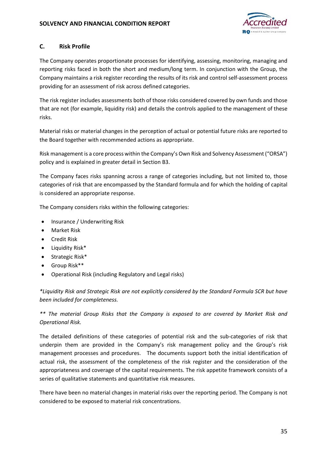

### **C. Risk Profile**

The Company operates proportionate processes for identifying, assessing, monitoring, managing and reporting risks faced in both the short and medium/long term. In conjunction with the Group, the Company maintains a risk register recording the results of its risk and control self-assessment process providing for an assessment of risk across defined categories.

The risk register includes assessments both of those risks considered covered by own funds and those that are not (for example, liquidity risk) and details the controls applied to the management of these risks.

Material risks or material changes in the perception of actual or potential future risks are reported to the Board together with recommended actions as appropriate.

Risk management is a core process within the Company's Own Risk and Solvency Assessment ("ORSA") policy and is explained in greater detail in Section B3.

The Company faces risks spanning across a range of categories including, but not limited to, those categories of risk that are encompassed by the Standard formula and for which the holding of capital is considered an appropriate response.

The Company considers risks within the following categories:

- Insurance / Underwriting Risk
- Market Risk
- **•** Credit Risk
- Liquidity Risk\*
- $\bullet$  Strategic Risk\*
- Group Risk\*\*
- Operational Risk (including Regulatory and Legal risks)

*\*Liquidity Risk and Strategic Risk are not explicitly considered by the Standard Formula SCR but have been included for completeness.* 

*\*\* The material Group Risks that the Company is exposed to are covered by Market Risk and Operational Risk.* 

The detailed definitions of these categories of potential risk and the sub-categories of risk that underpin them are provided in the Company's risk management policy and the Group's risk management processes and procedures. The documents support both the initial identification of actual risk, the assessment of the completeness of the risk register and the consideration of the appropriateness and coverage of the capital requirements. The risk appetite framework consists of a series of qualitative statements and quantitative risk measures.

There have been no material changes in material risks over the reporting period. The Company is not considered to be exposed to material risk concentrations.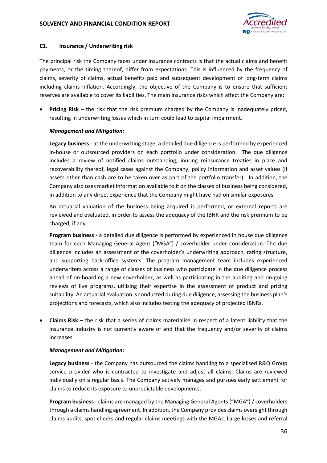

#### **C1. Insurance / Underwriting risk**

The principal risk the Company faces under insurance contracts is that the actual claims and benefit payments, or the timing thereof, differ from expectations. This is influenced by the frequency of claims, severity of claims, actual benefits paid and subsequent development of long-term claims including claims inflation. Accordingly, the objective of the Company is to ensure that sufficient reserves are available to cover its liabilities. The main insurance risks which affect the Company are:

 **Pricing Risk** – the risk that the risk premium charged by the Company is inadequately priced, resulting in underwriting losses which in turn could lead to capital impairment.

#### *Management and Mitigation:*

**Legacy business** - at the underwriting stage, a detailed due diligence is performed by experienced in-house or outsourced providers on each portfolio under consideration. The due diligence includes a review of notified claims outstanding, inuring reinsurance treaties in place and recoverability thereof, legal cases against the Company, policy information and asset values (if assets other than cash are to be taken over as part of the portfolio transfer). In addition, the Company also uses market information available to it on the classes of business being considered, in addition to any direct experience that the Company might have had on similar exposures.

An actuarial valuation of the business being acquired is performed, or external reports are reviewed and evaluated, in order to assess the adequacy of the IBNR and the risk premium to be charged, if any.

**Program business -** a detailed due diligence is performed by experienced in house due diligence team for each Managing General Agent ("MGA") / coverholder under consideration. The due diligence includes an assessment of the coverholder's underwriting approach, rating structure, and supporting back-office systems. The program management team includes experienced underwriters across a range of classes of business who participate in the due diligence process ahead of on-boarding a new coverholder, as well as participating in the auditing and on-going reviews of live programs, utilising their expertise in the assessment of product and pricing suitability. An actuarial evaluation is conducted during due diligence, assessing the business plan's projections and forecasts, which also includes testing the adequacy of projected IBNRs.

 **Claims Risk** – the risk that a series of claims materialise in respect of a latent liability that the insurance industry is not currently aware of and that the frequency and/or severity of claims increases.

#### *Management and Mitigation:*

**Legacy business** - the Company has outsourced the claims handling to a specialised R&Q Group service provider who is contracted to investigate and adjust all claims. Claims are reviewed individually on a regular basis. The Company actively manages and pursues early settlement for claims to reduce its exposure to unpredictable developments.

**Program business** - claims are managed by the Managing General Agents ("MGA") / coverholders through a claims handling agreement. In addition, the Company provides claims oversight through claims audits, spot checks and regular claims meetings with the MGAs. Large losses and referral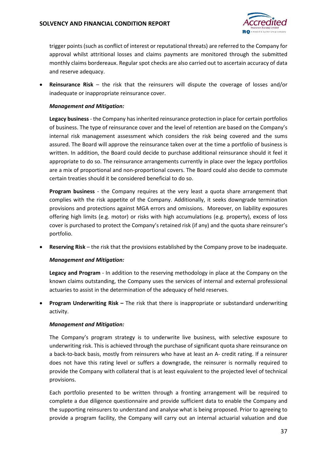

trigger points (such as conflict of interest or reputational threats) are referred to the Company for approval whilst attritional losses and claims payments are monitored through the submitted monthly claims bordereaux. Regular spot checks are also carried out to ascertain accuracy of data and reserve adequacy.

 **Reinsurance Risk** – the risk that the reinsurers will dispute the coverage of losses and/or inadequate or inappropriate reinsurance cover.

#### *Management and Mitigation:*

**Legacy business** - the Company has inherited reinsurance protection in place for certain portfolios of business. The type of reinsurance cover and the level of retention are based on the Company's internal risk management assessment which considers the risk being covered and the sums assured. The Board will approve the reinsurance taken over at the time a portfolio of business is written. In addition, the Board could decide to purchase additional reinsurance should it feel it appropriate to do so. The reinsurance arrangements currently in place over the legacy portfolios are a mix of proportional and non-proportional covers. The Board could also decide to commute certain treaties should it be considered beneficial to do so.

**Program business** - the Company requires at the very least a quota share arrangement that complies with the risk appetite of the Company. Additionally, it seeks downgrade termination provisions and protections against MGA errors and omissions. Moreover, on liability exposures offering high limits (e.g. motor) or risks with high accumulations (e.g. property), excess of loss cover is purchased to protect the Company's retained risk (if any) and the quota share reinsurer's portfolio.

**Reserving Risk** – the risk that the provisions established by the Company prove to be inadequate.

#### *Management and Mitigation:*

**Legacy and Program** - In addition to the reserving methodology in place at the Company on the known claims outstanding, the Company uses the services of internal and external professional actuaries to assist in the determination of the adequacy of held reserves.

**Program Underwriting Risk - The risk that there is inappropriate or substandard underwriting** activity.

#### *Management and Mitigation:*

The Company's program strategy is to underwrite live business, with selective exposure to underwriting risk. This is achieved through the purchase of significant quota share reinsurance on a back-to-back basis, mostly from reinsurers who have at least an A- credit rating. If a reinsurer does not have this rating level or suffers a downgrade, the reinsurer is normally required to provide the Company with collateral that is at least equivalent to the projected level of technical provisions.

Each portfolio presented to be written through a fronting arrangement will be required to complete a due diligence questionnaire and provide sufficient data to enable the Company and the supporting reinsurers to understand and analyse what is being proposed. Prior to agreeing to provide a program facility, the Company will carry out an internal actuarial valuation and due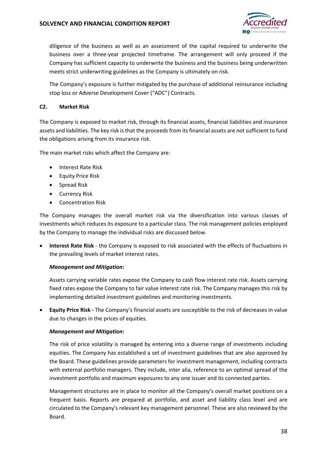

diligence of the business as well as an assessment of the capital required to underwrite the business over a three-year projected timeframe. The arrangement will only proceed if the Company has sufficient capacity to underwrite the business and the business being underwritten meets strict underwriting guidelines as the Company is ultimately on risk.

The Company's exposure is further mitigated by the purchase of additional reinsurance including stop loss or Adverse Development Cover ("ADC") Contracts.

#### **C2. Market Risk**

The Company is exposed to market risk, through its financial assets, financial liabilities and insurance assets and liabilities. The key risk is that the proceeds from its financial assets are not sufficient to fund the obligations arising from its insurance risk.

The main market risks which affect the Company are:

- Interest Rate Risk
- Equity Price Risk
- Spread Risk
- **•** Currency Risk
- Concentration Risk

The Company manages the overall market risk via the diversification into various classes of investments which reduces its exposure to a particular class. The risk management policies employed by the Company to manage the individual risks are discussed below.

 **Interest Rate Risk** - the Company is exposed to risk associated with the effects of fluctuations in the prevailing levels of market interest rates.

#### *Management and Mitigation:*

Assets carrying variable rates expose the Company to cash flow interest rate risk. Assets carrying fixed rates expose the Company to fair value interest rate risk. The Company manages this risk by implementing detailed investment guidelines and monitoring investments.

 **Equity Price Risk -** The Company's financial assets are susceptible to the risk of decreases in value due to changes in the prices of equities.

#### *Management and Mitigation:*

The risk of price volatility is managed by entering into a diverse range of investments including equities. The Company has established a set of investment guidelines that are also approved by the Board. These guidelines provide parameters for investment management, including contracts with external portfolio managers. They include, inter alia, reference to an optimal spread of the investment portfolio and maximum exposures to any one issuer and its connected parties.

Management structures are in place to monitor all the Company's overall market positions on a frequent basis. Reports are prepared at portfolio, and asset and liability class level and are circulated to the Company's relevant key management personnel. These are also reviewed by the Board.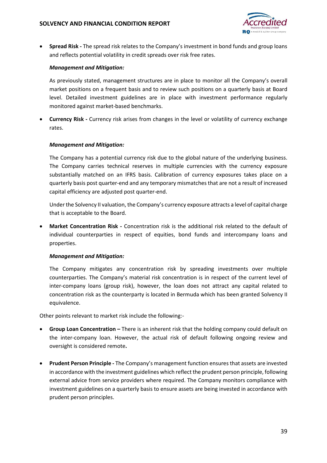

 **Spread Risk -** The spread risk relates to the Company's investment in bond funds and group loans and reflects potential volatility in credit spreads over risk free rates.

#### *Management and Mitigation:*

As previously stated, management structures are in place to monitor all the Company's overall market positions on a frequent basis and to review such positions on a quarterly basis at Board level. Detailed investment guidelines are in place with investment performance regularly monitored against market-based benchmarks.

 **Currency Risk -** Currency risk arises from changes in the level or volatility of currency exchange rates.

#### *Management and Mitigation:*

The Company has a potential currency risk due to the global nature of the underlying business. The Company carries technical reserves in multiple currencies with the currency exposure substantially matched on an IFRS basis. Calibration of currency exposures takes place on a quarterly basis post quarter-end and any temporary mismatches that are not a result of increased capital efficiency are adjusted post quarter-end.

Under the Solvency II valuation, the Company's currency exposure attracts a level of capital charge that is acceptable to the Board.

 **Market Concentration Risk -** Concentration risk is the additional risk related to the default of individual counterparties in respect of equities, bond funds and intercompany loans and properties.

#### *Management and Mitigation:*

The Company mitigates any concentration risk by spreading investments over multiple counterparties. The Company's material risk concentration is in respect of the current level of inter-company loans (group risk), however, the loan does not attract any capital related to concentration risk as the counterparty is located in Bermuda which has been granted Solvency II equivalence.

Other points relevant to market risk include the following:-

- **Group Loan Concentration** There is an inherent risk that the holding company could default on the inter-company loan. However, the actual risk of default following ongoing review and oversight is considered remote**.**
- **Prudent Person Principle** The Company's management function ensures that assets are invested in accordance with the investment guidelines which reflect the prudent person principle, following external advice from service providers where required. The Company monitors compliance with investment guidelines on a quarterly basis to ensure assets are being invested in accordance with prudent person principles.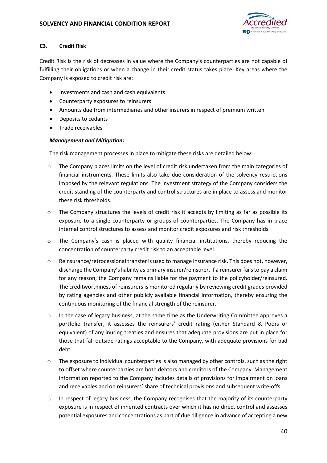

### **C3. Credit Risk**

Credit Risk is the risk of decreases in value where the Company's counterparties are not capable of fulfilling their obligations or when a change in their credit status takes place. Key areas where the Company is exposed to credit risk are:

- Investments and cash and cash equivalents
- Counterparty exposures to reinsurers
- Amounts due from intermediaries and other insurers in respect of premium written
- Deposits to cedants
- Trade receivables

### *Management and Mitigation:*

The risk management processes in place to mitigate these risks are detailed below:

- $\circ$  The Company places limits on the level of credit risk undertaken from the main categories of financial instruments. These limits also take due consideration of the solvency restrictions imposed by the relevant regulations. The investment strategy of the Company considers the credit standing of the counterparty and control structures are in place to assess and monitor these risk thresholds.
- o The Company structures the levels of credit risk it accepts by limiting as far as possible its exposure to a single counterparty or groups of counterparties. The Company has in place internal control structures to assess and monitor credit exposures and risk thresholds.
- $\circ$  The Company's cash is placed with quality financial institutions, thereby reducing the concentration of counterparty credit risk to an acceptable level.
- o Reinsurance/retrocessional transfer is used to manage insurance risk. This does not, however, discharge the Company's liability as primary insurer/reinsurer. If a reinsurer fails to pay a claim for any reason, the Company remains liable for the payment to the policyholder/reinsured. The creditworthiness of reinsurers is monitored regularly by reviewing credit grades provided by rating agencies and other publicly available financial information, thereby ensuring the continuous monitoring of the financial strength of the reinsurer.
- o In the case of legacy business, at the same time as the Underwriting Committee approves a portfolio transfer, it assesses the reinsurers' credit rating (either Standard & Poors or equivalent) of any inuring treaties and ensures that adequate provisions are put in place for those that fall outside ratings acceptable to the Company, with adequate provisions for bad debt.
- o The exposure to individual counterparties is also managed by other controls, such as the right to offset where counterparties are both debtors and creditors of the Company. Management information reported to the Company includes details of provisions for impairment on loans and receivables and on reinsurers' share of technical provisions and subsequent write-offs.
- o In respect of legacy business, the Company recognises that the majority of its counterparty exposure is in respect of inherited contracts over which it has no direct control and assesses potential exposures and concentrations as part of due diligence in advance of accepting a new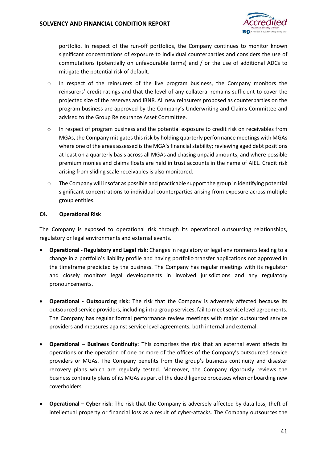

portfolio. In respect of the run-off portfolios, the Company continues to monitor known significant concentrations of exposure to individual counterparties and considers the use of commutations (potentially on unfavourable terms) and / or the use of additional ADCs to mitigate the potential risk of default.

- o In respect of the reinsurers of the live program business, the Company monitors the reinsurers' credit ratings and that the level of any collateral remains sufficient to cover the projected size of the reserves and IBNR. All new reinsurers proposed as counterparties on the program business are approved by the Company's Underwriting and Claims Committee and advised to the Group Reinsurance Asset Committee.
- o In respect of program business and the potential exposure to credit risk on receivables from MGAs, the Company mitigates this risk by holding quarterly performance meetings with MGAs where one of the areas assessed is the MGA's financial stability; reviewing aged debt positions at least on a quarterly basis across all MGAs and chasing unpaid amounts, and where possible premium monies and claims floats are held in trust accounts in the name of AIEL. Credit risk arising from sliding scale receivables is also monitored.
- $\circ$  The Company will insofar as possible and practicable support the group in identifying potential significant concentrations to individual counterparties arising from exposure across multiple group entities.

#### **C4. Operational Risk**

The Company is exposed to operational risk through its operational outsourcing relationships, regulatory or legal environments and external events.

- **Operational Regulatory and Legal risk:** Changes in regulatory or legal environments leading to a change in a portfolio's liability profile and having portfolio transfer applications not approved in the timeframe predicted by the business. The Company has regular meetings with its regulator and closely monitors legal developments in involved jurisdictions and any regulatory pronouncements.
- **Operational Outsourcing risk:** The risk that the Company is adversely affected because its outsourced service providers, including intra-group services, fail to meet service level agreements. The Company has regular formal performance review meetings with major outsourced service providers and measures against service level agreements, both internal and external.
- **Operational – Business Continuity**: This comprises the risk that an external event affects its operations or the operation of one or more of the offices of the Company's outsourced service providers or MGAs. The Company benefits from the group's business continuity and disaster recovery plans which are regularly tested. Moreover, the Company rigorously reviews the business continuity plans of its MGAs as part of the due diligence processes when onboarding new coverholders.
- **Operational Cyber risk**: The risk that the Company is adversely affected by data loss, theft of intellectual property or financial loss as a result of cyber-attacks. The Company outsources the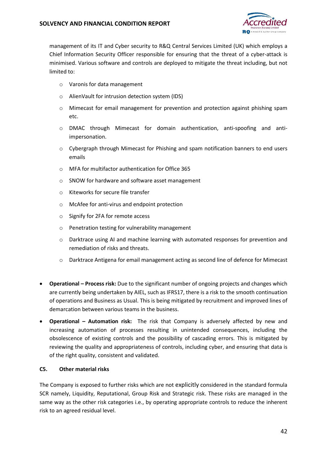

management of its IT and Cyber security to R&Q Central Services Limited (UK) which employs a Chief Information Security Officer responsible for ensuring that the threat of a cyber-attack is minimised. Various software and controls are deployed to mitigate the threat including, but not limited to:

- o Varonis for data management
- o AlienVault for intrusion detection system (IDS)
- o Mimecast for email management for prevention and protection against phishing spam etc.
- o DMAC through Mimecast for domain authentication, anti-spoofing and antiimpersonation.
- $\circ$  Cybergraph through Mimecast for Phishing and spam notification banners to end users emails
- o MFA for multifactor authentication for Office 365
- o SNOW for hardware and software asset management
- o Kiteworks for secure file transfer
- o McAfee for anti-virus and endpoint protection
- o Signify for 2FA for remote access
- o Penetration testing for vulnerability management
- o Darktrace using AI and machine learning with automated responses for prevention and remediation of risks and threats.
- o Darktrace Antigena for email management acting as second line of defence for Mimecast
- **Operational Process risk:** Due to the significant number of ongoing projects and changes which are currently being undertaken by AIEL, such as IFRS17, there is a risk to the smooth continuation of operations and Business as Usual. This is being mitigated by recruitment and improved lines of demarcation between various teams in the business.
- **Operational Automation risk:** The risk that Company is adversely affected by new and increasing automation of processes resulting in unintended consequences, including the obsolescence of existing controls and the possibility of cascading errors. This is mitigated by reviewing the quality and appropriateness of controls, including cyber, and ensuring that data is of the right quality, consistent and validated.

#### **C5. Other material risks**

The Company is exposed to further risks which are not explicitly considered in the standard formula SCR namely, Liquidity, Reputational, Group Risk and Strategic risk. These risks are managed in the same way as the other risk categories i.e., by operating appropriate controls to reduce the inherent risk to an agreed residual level.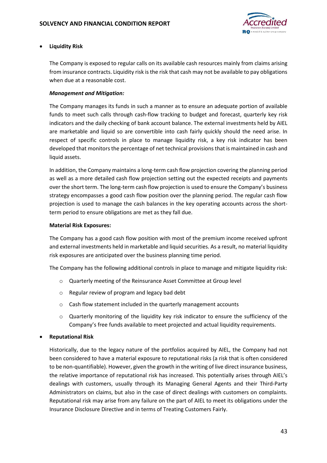

### **Liquidity Risk**

The Company is exposed to regular calls on its available cash resources mainly from claims arising from insurance contracts. Liquidity risk is the risk that cash may not be available to pay obligations when due at a reasonable cost.

### *Management and Mitigation:*

The Company manages its funds in such a manner as to ensure an adequate portion of available funds to meet such calls through cash-flow tracking to budget and forecast, quarterly key risk indicators and the daily checking of bank account balance. The external investments held by AIEL are marketable and liquid so are convertible into cash fairly quickly should the need arise. In respect of specific controls in place to manage liquidity risk, a key risk indicator has been developed that monitors the percentage of net technical provisions that is maintained in cash and liquid assets.

In addition, the Company maintains a long-term cash flow projection covering the planning period as well as a more detailed cash flow projection setting out the expected receipts and payments over the short term. The long-term cash flow projection is used to ensure the Company's business strategy encompasses a good cash flow position over the planning period. The regular cash flow projection is used to manage the cash balances in the key operating accounts across the shortterm period to ensure obligations are met as they fall due.

### **Material Risk Exposures:**

The Company has a good cash flow position with most of the premium income received upfront and external investments held in marketable and liquid securities. As a result, no material liquidity risk exposures are anticipated over the business planning time period.

The Company has the following additional controls in place to manage and mitigate liquidity risk:

- o Quarterly meeting of the Reinsurance Asset Committee at Group level
- o Regular review of program and legacy bad debt
- o Cash flow statement included in the quarterly management accounts
- $\circ$  Quarterly monitoring of the liquidity key risk indicator to ensure the sufficiency of the Company's free funds available to meet projected and actual liquidity requirements.

### **Reputational Risk**

Historically, due to the legacy nature of the portfolios acquired by AIEL, the Company had not been considered to have a material exposure to reputational risks (a risk that is often considered to be non-quantifiable). However, given the growth in the writing of live direct insurance business, the relative importance of reputational risk has increased. This potentially arises through AIEL's dealings with customers, usually through its Managing General Agents and their Third-Party Administrators on claims, but also in the case of direct dealings with customers on complaints. Reputational risk may arise from any failure on the part of AIEL to meet its obligations under the Insurance Disclosure Directive and in terms of Treating Customers Fairly.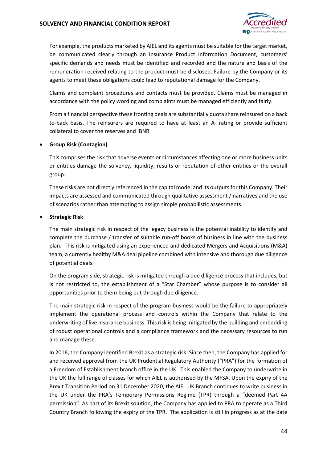

For example, the products marketed by AIEL and its agents must be suitable for the target market, be communicated clearly through an Insurance Product Information Document, customers' specific demands and needs must be identified and recorded and the nature and basis of the remuneration received relating to the product must be disclosed. Failure by the Company or its agents to meet these obligations could lead to reputational damage for the Company.

Claims and complaint procedures and contacts must be provided. Claims must be managed in accordance with the policy wording and complaints must be managed efficiently and fairly.

From a financial perspective these fronting deals are substantially quota share reinsured on a back to-back basis. The reinsurers are required to have at least an A- rating or provide sufficient collateral to cover the reserves and IBNR.

#### **Group Risk (Contagion)**

This comprises the risk that adverse events or circumstances affecting one or more business units or entities damage the solvency, liquidity, results or reputation of other entities or the overall group.

These risks are not directly referenced in the capital model and its outputs for this Company. Their impacts are assessed and communicated through qualitative assessment / narratives and the use of scenarios rather than attempting to assign simple probabilistic assessments.

#### • **Strategic Risk**

The main strategic risk in respect of the legacy business is the potential inability to identify and complete the purchase / transfer of suitable run-off books of business in line with the business plan. This risk is mitigated using an experienced and dedicated Mergers and Acquisitions (M&A) team, a currently healthy M&A deal pipeline combined with intensive and thorough due diligence of potential deals.

On the program side, strategic risk is mitigated through a due diligence process that includes, but is not restricted to, the establishment of a "Star Chamber" whose purpose is to consider all opportunities prior to them being put through due diligence.

The main strategic risk in respect of the program business would be the failure to appropriately implement the operational process and controls within the Company that relate to the underwriting of live insurance business. This risk is being mitigated by the building and embedding of robust operational controls and a compliance framework and the necessary resources to run and manage these.

In 2016, the Company identified Brexit as a strategic risk. Since then, the Company has applied for and received approval from the UK Prudential Regulatory Authority ("PRA") for the formation of a Freedom of Establishment branch office in the UK. This enabled the Company to underwrite in the UK the full range of classes for which AIEL is authorised by the MFSA. Upon the expiry of the Brexit Transition Period on 31 December 2020, the AIEL UK Branch continues to write business in the UK under the PRA's Temporary Permissions Regime (TPR) through a "deemed Part 4A permission". As part of its Brexit solution, the Company has applied to PRA to operate as a Third Country Branch following the expiry of the TPR. The application is still in progress as at the date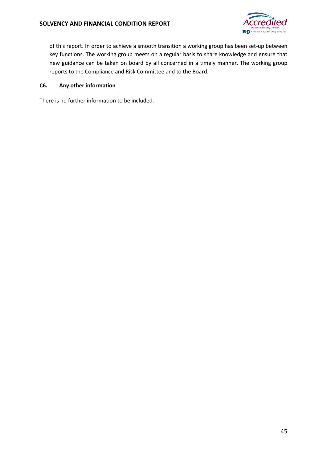

of this report. In order to achieve a smooth transition a working group has been set-up between key functions. The working group meets on a regular basis to share knowledge and ensure that new guidance can be taken on board by all concerned in a timely manner. The working group reports to the Compliance and Risk Committee and to the Board.

#### **C6. Any other information**

There is no further information to be included.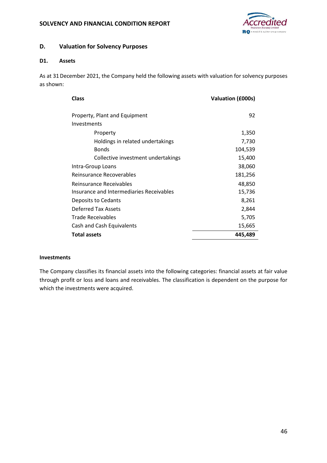

### **D. Valuation for Solvency Purposes**

#### **D1. Assets**

As at 31December 2021, the Company held the following assets with valuation for solvency purposes as shown:

| <b>Class</b>                             | Valuation (£000s) |
|------------------------------------------|-------------------|
| Property, Plant and Equipment            | 92                |
| Investments                              |                   |
| Property                                 | 1,350             |
| Holdings in related undertakings         | 7,730             |
| <b>Bonds</b>                             | 104,539           |
| Collective investment undertakings       | 15,400            |
| Intra-Group Loans                        | 38,060            |
| Reinsurance Recoverables                 | 181,256           |
| Reinsurance Receivables                  | 48,850            |
| Insurance and Intermediaries Receivables | 15,736            |
| Deposits to Cedants                      | 8,261             |
| Deferred Tax Assets                      | 2,844             |
| Trade Receivables                        | 5,705             |
| Cash and Cash Equivalents                | 15,665            |
| <b>Total assets</b>                      | 445,489           |

#### **Investments**

The Company classifies its financial assets into the following categories: financial assets at fair value through profit or loss and loans and receivables. The classification is dependent on the purpose for which the investments were acquired.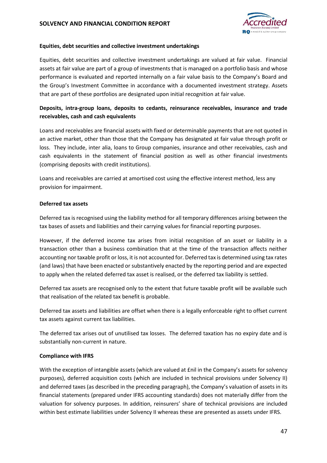

#### **Equities, debt securities and collective investment undertakings**

Equities, debt securities and collective investment undertakings are valued at fair value. Financial assets at fair value are part of a group of investments that is managed on a portfolio basis and whose performance is evaluated and reported internally on a fair value basis to the Company's Board and the Group's Investment Committee in accordance with a documented investment strategy. Assets that are part of these portfolios are designated upon initial recognition at fair value.

### **Deposits, intra-group loans, deposits to cedants, reinsurance receivables, insurance and trade receivables, cash and cash equivalents**

Loans and receivables are financial assets with fixed or determinable payments that are not quoted in an active market, other than those that the Company has designated at fair value through profit or loss. They include, inter alia, loans to Group companies, insurance and other receivables, cash and cash equivalents in the statement of financial position as well as other financial investments (comprising deposits with credit institutions).

Loans and receivables are carried at amortised cost using the effective interest method, less any provision for impairment.

#### **Deferred tax assets**

Deferred tax is recognised using the liability method for all temporary differences arising between the tax bases of assets and liabilities and their carrying values for financial reporting purposes.

However, if the deferred income tax arises from initial recognition of an asset or liability in a transaction other than a business combination that at the time of the transaction affects neither accounting nor taxable profit or loss, it is not accounted for. Deferred tax is determined using tax rates (and laws) that have been enacted or substantively enacted by the reporting period and are expected to apply when the related deferred tax asset is realised, or the deferred tax liability is settled.

Deferred tax assets are recognised only to the extent that future taxable profit will be available such that realisation of the related tax benefit is probable.

Deferred tax assets and liabilities are offset when there is a legally enforceable right to offset current tax assets against current tax liabilities.

The deferred tax arises out of unutilised tax losses. The deferred taxation has no expiry date and is substantially non-current in nature.

### **Compliance with IFRS**

With the exception of intangible assets (which are valued at £nil in the Company's assets for solvency purposes), deferred acquisition costs (which are included in technical provisions under Solvency II) and deferred taxes (as described in the preceding paragraph), the Company's valuation of assets in its financial statements (prepared under IFRS accounting standards) does not materially differ from the valuation for solvency purposes. In addition, reinsurers' share of technical provisions are included within best estimate liabilities under Solvency II whereas these are presented as assets under IFRS.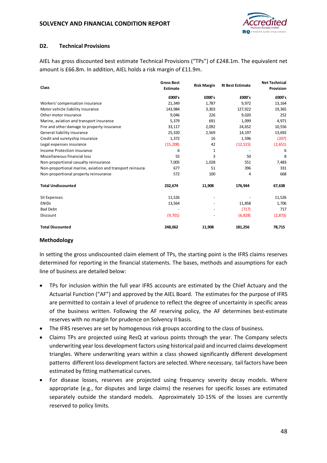

#### **D2. Technical Provisions**

AIEL has gross discounted best estimate Technical Provisions ("TPs") of £248.1m. The equivalent net amount is £66.8m. In addition, AIEL holds a risk margin of £11.9m.

| Class                                                     | <b>Gross Best</b><br><b>Estimate</b> | <b>Risk Margin</b> | <b>RI Best Estimate</b> | <b>Net Technical</b><br>Provision |  |
|-----------------------------------------------------------|--------------------------------------|--------------------|-------------------------|-----------------------------------|--|
|                                                           | £000's                               | £000's             | £000's                  | £000's                            |  |
| Workers' compensation insurance                           | 21,349                               | 1,787              | 9,972                   | 13,164                            |  |
| Motor vehicle liability insurance                         | 143,984                              | 3,303              | 127,922                 | 19,365                            |  |
| Other motor insurance                                     | 9,046                                | 226                | 9,020                   | 252                               |  |
| Marine, aviation and transport insurance                  | 5,379                                | 691                | 1,099                   | 4,971                             |  |
| Fire and other damage to property insurance               | 33,117                               | 2,092              | 24,652                  | 10,556                            |  |
| General liability insurance                               | 25,320                               | 2,569              | 14,197                  | 13,692                            |  |
| Credit and suretyship insurance                           | 1,372                                | 16                 | 1,596                   | (207)                             |  |
| Legal expenses insurance                                  | (15, 208)                            | 42                 | (12, 515)               | (2,651)                           |  |
| Income Protection insurance                               | 6                                    | 1                  |                         | 6                                 |  |
| Miscellaneous financial loss                              | 55                                   | 3                  | 50                      | 8                                 |  |
| Non-proportional casualty reinsurance                     | 7,005                                | 1,028              | 551                     | 7,483                             |  |
| Non-proportional marine, aviation and transport reinsural | 677                                  | 51                 | 396                     | 331                               |  |
| Non-proportional property reinsurance                     | 572                                  | 100                | 4                       | 668                               |  |
| <b>Total Undiscounted</b>                                 | 232,674                              | 11,908             | 176,944                 | 67,638                            |  |
| <b>SII Expenses</b>                                       | 11,526                               |                    |                         | 11,526                            |  |
| <b>ENIDS</b>                                              | 13,564                               |                    | 11,858                  | 1,706                             |  |
| <b>Bad Debt</b>                                           |                                      |                    | (717)                   | 717                               |  |
| Discount                                                  | (9,701)                              |                    | (6, 828)                | (2,873)                           |  |
| <b>Total Discounted</b>                                   | 248,062                              | 11,908             | 181,256                 | 78,715                            |  |

#### **Methodology**

In setting the gross undiscounted claim element of TPs, the starting point is the IFRS claims reserves determined for reporting in the financial statements. The bases, methods and assumptions for each line of business are detailed below:

- TPs for inclusion within the full year IFRS accounts are estimated by the Chief Actuary and the Actuarial Function ("AF") and approved by the AIEL Board. The estimates for the purpose of IFRS are permitted to contain a level of prudence to reflect the degree of uncertainty in specific areas of the business written. Following the AF reserving policy, the AF determines best-estimate reserves with no margin for prudence on Solvency II basis.
- The IFRS reserves are set by homogenous risk groups according to the class of business.
- Claims TPs are projected using ResQ at various points through the year. The Company selects underwriting year loss development factors using historical paid and incurred claims development triangles. Where underwriting years within a class showed significantly different development patterns different loss development factors are selected. Where necessary, tail factors have been estimated by fitting mathematical curves.
- For disease losses, reserves are projected using frequency severity decay models. Where appropriate (e.g., for disputes and large claims) the reserves for specific losses are estimated separately outside the standard models. Approximately 10-15% of the losses are currently reserved to policy limits.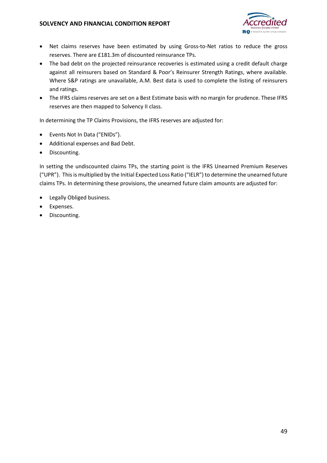

- Net claims reserves have been estimated by using Gross-to-Net ratios to reduce the gross reserves. There are £181.3m of discounted reinsurance TPs.
- The bad debt on the projected reinsurance recoveries is estimated using a credit default charge against all reinsurers based on Standard & Poor's Reinsurer Strength Ratings, where available. Where S&P ratings are unavailable, A.M. Best data is used to complete the listing of reinsurers and ratings.
- The IFRS claims reserves are set on a Best Estimate basis with no margin for prudence. These IFRS reserves are then mapped to Solvency II class.

In determining the TP Claims Provisions, the IFRS reserves are adjusted for:

- Events Not In Data ("ENIDs").
- Additional expenses and Bad Debt.
- Discounting.

In setting the undiscounted claims TPs, the starting point is the IFRS Unearned Premium Reserves ("UPR"). This is multiplied by the Initial Expected Loss Ratio ("IELR") to determine the unearned future claims TPs. In determining these provisions, the unearned future claim amounts are adjusted for:

- Legally Obliged business.
- Expenses.
- Discounting.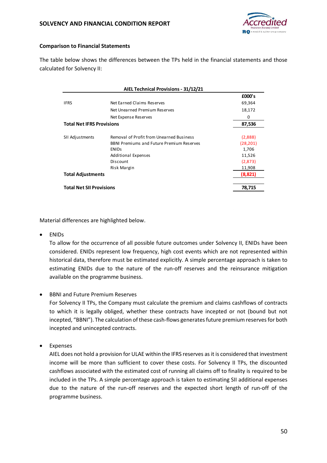

#### **Comparison to Financial Statements**

The table below shows the differences between the TPs held in the financial statements and those calculated for Solvency II:

|                                  | AIEL Technical Provisions - 31/12/21             |           |  |  |  |  |  |  |
|----------------------------------|--------------------------------------------------|-----------|--|--|--|--|--|--|
|                                  |                                                  | £000's    |  |  |  |  |  |  |
| <b>IFRS</b>                      | Net Earned Claims Reserves                       | 69,364    |  |  |  |  |  |  |
|                                  | Net Unearned Premium Reserves                    |           |  |  |  |  |  |  |
|                                  | Net Expense Reserves                             |           |  |  |  |  |  |  |
| <b>Total Net IFRS Provisions</b> | 87,536                                           |           |  |  |  |  |  |  |
|                                  |                                                  |           |  |  |  |  |  |  |
| SII Adjustments                  | Removal of Profit from Unearned Business         | (2,888)   |  |  |  |  |  |  |
|                                  | <b>BBNI Premiums and Future Premium Reserves</b> | (28, 201) |  |  |  |  |  |  |
| <b>ENIDS</b>                     |                                                  | 1,706     |  |  |  |  |  |  |
|                                  | <b>Additional Expenses</b>                       | 11,526    |  |  |  |  |  |  |
|                                  | Discount                                         | (2,873)   |  |  |  |  |  |  |
|                                  | Risk Margin                                      |           |  |  |  |  |  |  |
|                                  | <b>Total Adjustments</b>                         |           |  |  |  |  |  |  |
|                                  |                                                  |           |  |  |  |  |  |  |
| <b>Total Net SII Provisions</b>  |                                                  | 78,715    |  |  |  |  |  |  |

Material differences are highlighted below.

ENIDs

To allow for the occurrence of all possible future outcomes under Solvency II, ENIDs have been considered. ENIDs represent low frequency, high cost events which are not represented within historical data, therefore must be estimated explicitly. A simple percentage approach is taken to estimating ENIDs due to the nature of the run-off reserves and the reinsurance mitigation available on the programme business.

BBNI and Future Premium Reserves

For Solvency II TPs, the Company must calculate the premium and claims cashflows of contracts to which it is legally obliged, whether these contracts have incepted or not (bound but not incepted, "BBNI"). The calculation of these cash-flows generates future premium reserves for both incepted and unincepted contracts.

Expenses

AIEL does not hold a provision for ULAE within the IFRS reserves as it is considered that investment income will be more than sufficient to cover these costs. For Solvency II TPs, the discounted cashflows associated with the estimated cost of running all claims off to finality is required to be included in the TPs. A simple percentage approach is taken to estimating SII additional expenses due to the nature of the run-off reserves and the expected short length of run-off of the programme business.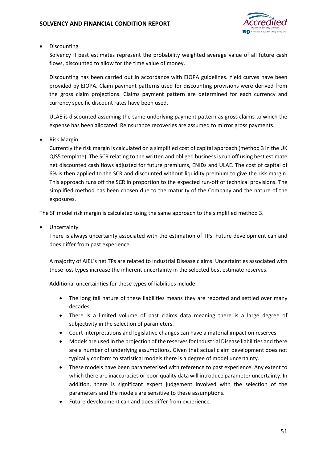

• Discounting

Solvency II best estimates represent the probability weighted average value of all future cash flows, discounted to allow for the time value of money.

Discounting has been carried out in accordance with EIOPA guidelines. Yield curves have been provided by EIOPA. Claim payment patterns used for discounting provisions were derived from the gross claim projections. Claims payment pattern are determined for each currency and currency specific discount rates have been used.

ULAE is discounted assuming the same underlying payment pattern as gross claims to which the expense has been allocated. Reinsurance recoveries are assumed to mirror gross payments.

Risk Margin

Currently the risk margin is calculated on a simplified cost of capital approach (method 3 in the UK QIS5 template). The SCR relating to the written and obliged business is run off using best estimate net discounted cash flows adjusted for future premiums, ENIDs and ULAE. The cost of capital of 6% is then applied to the SCR and discounted without liquidity premium to give the risk margin. This approach runs off the SCR in proportion to the expected run-off of technical provisions. The simplified method has been chosen due to the maturity of the Company and the nature of the exposures.

The SF model risk margin is calculated using the same approach to the simplified method 3.

• Uncertainty

There is always uncertainty associated with the estimation of TPs. Future development can and does differ from past experience.

A majority of AIEL's net TPs are related to Industrial Disease claims. Uncertainties associated with these loss types increase the inherent uncertainty in the selected best estimate reserves.

Additional uncertainties for these types of liabilities include:

- The long tail nature of these liabilities means they are reported and settled over many decades.
- There is a limited volume of past claims data meaning there is a large degree of subjectivity in the selection of parameters.
- Court interpretations and legislative changes can have a material impact on reserves.
- Models are used in the projection of the reserves for Industrial Disease liabilities and there are a number of underlying assumptions. Given that actual claim development does not typically conform to statistical models there is a degree of model uncertainty.
- These models have been parameterised with reference to past experience. Any extent to which there are inaccuracies or poor-quality data will introduce parameter uncertainty. In addition, there is significant expert judgement involved with the selection of the parameters and the models are sensitive to these assumptions.
- Future development can and does differ from experience.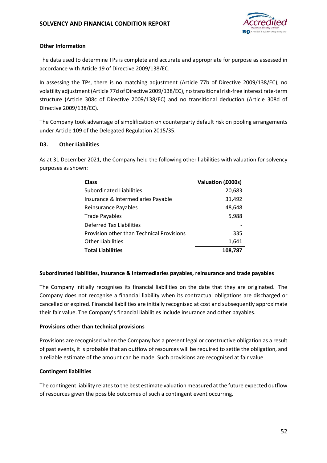

#### **Other Information**

The data used to determine TPs is complete and accurate and appropriate for purpose as assessed in accordance with Article 19 of Directive 2009/138/EC.

In assessing the TPs, there is no matching adjustment (Article 77b of Directive 2009/138/EC), no volatility adjustment (Article 77d of Directive 2009/138/EC), no transitional risk-free interest rate-term structure (Article 308c of Directive 2009/138/EC) and no transitional deduction (Article 308d of Directive 2009/138/EC).

The Company took advantage of simplification on counterparty default risk on pooling arrangements under Article 109 of the Delegated Regulation 2015/35.

#### **D3. Other Liabilities**

As at 31 December 2021, the Company held the following other liabilities with valuation for solvency purposes as shown:

| <b>Class</b>                              | Valuation (£000s) |
|-------------------------------------------|-------------------|
| Subordinated Liabilities                  | 20,683            |
| Insurance & Intermediaries Payable        | 31,492            |
| Reinsurance Payables                      | 48,648            |
| <b>Trade Payables</b>                     | 5,988             |
| Deferred Tax Liabilities                  |                   |
| Provision other than Technical Provisions | 335               |
| <b>Other Liabilities</b>                  | 1,641             |
| <b>Total Liabilities</b>                  | 108,787           |

#### **Subordinated liabilities, insurance & intermediaries payables, reinsurance and trade payables**

The Company initially recognises its financial liabilities on the date that they are originated. The Company does not recognise a financial liability when its contractual obligations are discharged or cancelled or expired. Financial liabilities are initially recognised at cost and subsequently approximate their fair value. The Company's financial liabilities include insurance and other payables.

#### **Provisions other than technical provisions**

Provisions are recognised when the Company has a present legal or constructive obligation as a result of past events, it is probable that an outflow of resources will be required to settle the obligation, and a reliable estimate of the amount can be made. Such provisions are recognised at fair value.

#### **Contingent liabilities**

The contingent liability relates to the best estimate valuation measured at the future expected outflow of resources given the possible outcomes of such a contingent event occurring.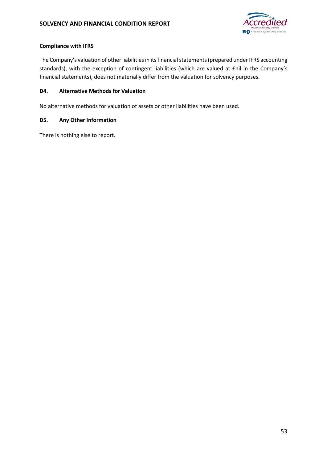

#### **Compliance with IFRS**

The Company's valuation of other liabilities in its financial statements (prepared under IFRS accounting standards), with the exception of contingent liabilities (which are valued at £nil in the Company's financial statements), does not materially differ from the valuation for solvency purposes.

#### **D4. Alternative Methods for Valuation**

No alternative methods for valuation of assets or other liabilities have been used.

#### **D5. Any Other Information**

There is nothing else to report.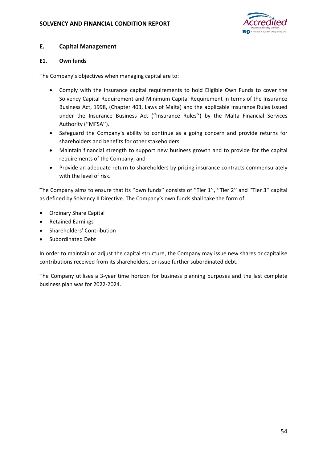

### **E. Capital Management**

#### **E1. Own funds**

The Company's objectives when managing capital are to:

- Comply with the insurance capital requirements to hold Eligible Own Funds to cover the Solvency Capital Requirement and Minimum Capital Requirement in terms of the Insurance Business Act, 1998, (Chapter 403, Laws of Malta) and the applicable Insurance Rules issued under the Insurance Business Act (''Insurance Rules'') by the Malta Financial Services Authority (''MFSA'').
- Safeguard the Company's ability to continue as a going concern and provide returns for shareholders and benefits for other stakeholders.
- Maintain financial strength to support new business growth and to provide for the capital requirements of the Company; and
- Provide an adequate return to shareholders by pricing insurance contracts commensurately with the level of risk.

The Company aims to ensure that its "own funds" consists of "Tier 1", "Tier 2" and "Tier 3" capital as defined by Solvency II Directive. The Company's own funds shall take the form of:

- Ordinary Share Capital
- Retained Earnings
- Shareholders' Contribution
- Subordinated Debt

In order to maintain or adjust the capital structure, the Company may issue new shares or capitalise contributions received from its shareholders, or issue further subordinated debt.

The Company utilises a 3-year time horizon for business planning purposes and the last complete business plan was for 2022-2024.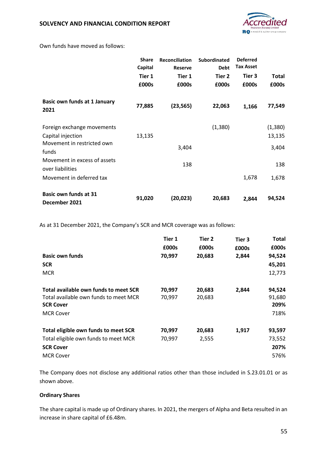

Own funds have moved as follows:

|                                                  | <b>Share</b><br>Capital | <b>Reconciliation</b><br><b>Reserve</b> | <b>Subordinated</b><br><b>Debt</b> | <b>Deferred</b><br><b>Tax Asset</b> |         |
|--------------------------------------------------|-------------------------|-----------------------------------------|------------------------------------|-------------------------------------|---------|
|                                                  | Tier 1                  | Tier 1                                  | Tier 2                             | Tier 3                              | Total   |
|                                                  | £000s                   | £000s                                   | £000s                              | £000s                               | £000s   |
| <b>Basic own funds at 1 January</b><br>2021      | 77,885                  | (23, 565)                               | 22,063                             | 1,166                               | 77,549  |
| Foreign exchange movements                       |                         |                                         | (1,380)                            |                                     | (1,380) |
| Capital injection                                | 13,135                  |                                         |                                    |                                     | 13,135  |
| Movement in restricted own<br>funds              |                         | 3,404                                   |                                    |                                     | 3,404   |
| Movement in excess of assets<br>over liabilities |                         | 138                                     |                                    |                                     | 138     |
| Movement in deferred tax                         |                         |                                         |                                    | 1,678                               | 1,678   |
| <b>Basic own funds at 31</b><br>December 2021    | 91,020                  | (20, 023)                               | 20,683                             | 2,844                               | 94,524  |

As at 31 December 2021, the Company's SCR and MCR coverage was as follows:

|                                       | Tier 1 | Tier 2 | Tier 3 | Total  |
|---------------------------------------|--------|--------|--------|--------|
|                                       | £000s  | £000s  | £000s  | £000s  |
| <b>Basic own funds</b>                | 70,997 | 20,683 | 2,844  | 94,524 |
| <b>SCR</b>                            |        |        |        | 45,201 |
| <b>MCR</b>                            |        |        |        | 12,773 |
|                                       |        |        |        |        |
| Total available own funds to meet SCR | 70,997 | 20,683 | 2,844  | 94,524 |
| Total available own funds to meet MCR | 70,997 | 20,683 |        | 91,680 |
| <b>SCR Cover</b>                      |        |        |        | 209%   |
| <b>MCR Cover</b>                      |        |        |        | 718%   |
| Total eligible own funds to meet SCR  | 70,997 | 20,683 | 1,917  | 93,597 |
| Total eligible own funds to meet MCR  | 70,997 | 2,555  |        | 73,552 |
| <b>SCR Cover</b>                      |        |        |        | 207%   |
| <b>MCR Cover</b>                      |        |        |        | 576%   |

The Company does not disclose any additional ratios other than those included in S.23.01.01 or as shown above.

#### **Ordinary Shares**

The share capital is made up of Ordinary shares. In 2021, the mergers of Alpha and Beta resulted in an increase in share capital of £6.48m.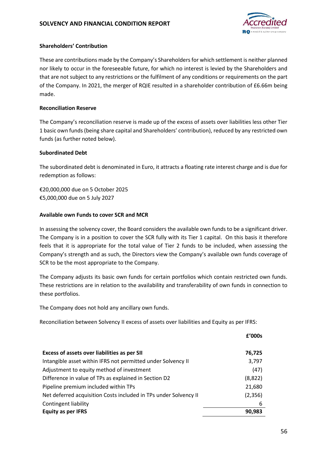

#### **Shareholders' Contribution**

These are contributions made by the Company's Shareholders for which settlement is neither planned nor likely to occur in the foreseeable future, for which no interest is levied by the Shareholders and that are not subject to any restrictions or the fulfilment of any conditions or requirements on the part of the Company. In 2021, the merger of RQIE resulted in a shareholder contribution of £6.66m being made.

#### **Reconciliation Reserve**

The Company's reconciliation reserve is made up of the excess of assets over liabilities less other Tier 1 basic own funds (being share capital and Shareholders' contribution), reduced by any restricted own funds (as further noted below).

#### **Subordinated Debt**

The subordinated debt is denominated in Euro, it attracts a floating rate interest charge and is due for redemption as follows:

€20,000,000 due on 5 October 2025 €5,000,000 due on 5 July 2027

#### **Available own Funds to cover SCR and MCR**

In assessing the solvency cover, the Board considers the available own funds to be a significant driver. The Company is in a position to cover the SCR fully with its Tier 1 capital. On this basis it therefore feels that it is appropriate for the total value of Tier 2 funds to be included, when assessing the Company's strength and as such, the Directors view the Company's available own funds coverage of SCR to be the most appropriate to the Company.

The Company adjusts its basic own funds for certain portfolios which contain restricted own funds. These restrictions are in relation to the availability and transferability of own funds in connection to these portfolios.

The Company does not hold any ancillary own funds.

Reconciliation between Solvency II excess of assets over liabilities and Equity as per IFRS:

|                                                                  | f'000s  |
|------------------------------------------------------------------|---------|
| Excess of assets over liabilities as per SII                     | 76,725  |
| Intangible asset within IFRS not permitted under Solvency II     | 3,797   |
| Adjustment to equity method of investment                        | (47)    |
| Difference in value of TPs as explained in Section D2            | (8,822) |
| Pipeline premium included within TPs                             | 21,680  |
| Net deferred acquisition Costs included in TPs under Solvency II | (2,356) |
| Contingent liability                                             | 6       |
| <b>Equity as per IFRS</b>                                        | 90.983  |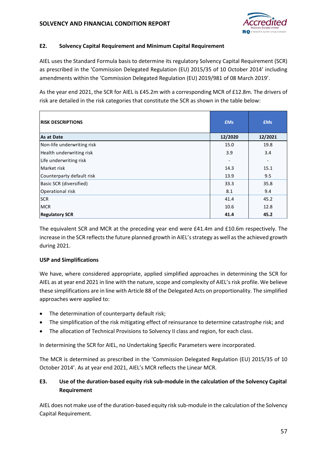

#### **E2. Solvency Capital Requirement and Minimum Capital Requirement**

AIEL uses the Standard Formula basis to determine its regulatory Solvency Capital Requirement (SCR) as prescribed in the 'Commission Delegated Regulation (EU) 2015/35 of 10 October 2014' including amendments within the 'Commission Delegated Regulation (EU) 2019/981 of 08 March 2019'.

As the year end 2021, the SCR for AIEL is £45.2m with a corresponding MCR of £12.8m. The drivers of risk are detailed in the risk categories that constitute the SCR as shown in the table below:

| <b>RISK DESCRIPTIONS</b>   | <b>£Ms</b> | <b>£Ms</b> |
|----------------------------|------------|------------|
| As at Date                 | 12/2020    | 12/2021    |
| Non-life underwriting risk | 15.0       | 19.8       |
| Health underwriting risk   | 3.9        | 3.4        |
| Life underwriting risk     |            |            |
| Market risk                | 14.3       | 15.1       |
| Counterparty default risk  | 13.9       | 9.5        |
| Basic SCR (diversified)    | 33.3       | 35.8       |
| Operational risk           | 8.1        | 9.4        |
| <b>SCR</b>                 | 41.4       | 45.2       |
| <b>MCR</b>                 | 10.6       | 12.8       |
| <b>Regulatory SCR</b>      | 41.4       | 45.2       |

The equivalent SCR and MCR at the preceding year end were £41.4m and £10.6m respectively. The increase in the SCR reflects the future planned growth in AIEL's strategy as well as the achieved growth during 2021.

#### **USP and Simplifications**

We have, where considered appropriate, applied simplified approaches in determining the SCR for AIEL as at year end 2021 in line with the nature, scope and complexity of AIEL's risk profile. We believe these simplifications are in line with Article 88 of the Delegated Acts on proportionality. The simplified approaches were applied to:

- The determination of counterparty default risk;
- The simplification of the risk mitigating effect of reinsurance to determine catastrophe risk; and
- The allocation of Technical Provisions to Solvency II class and region, for each class.

In determining the SCR for AIEL, no Undertaking Specific Parameters were incorporated.

The MCR is determined as prescribed in the 'Commission Delegated Regulation (EU) 2015/35 of 10 October 2014'. As at year end 2021, AIEL's MCR reflects the Linear MCR.

### **E3. Use of the duration-based equity risk sub-module in the calculation of the Solvency Capital Requirement**

AIEL does not make use of the duration-based equity risk sub-module in the calculation of the Solvency Capital Requirement.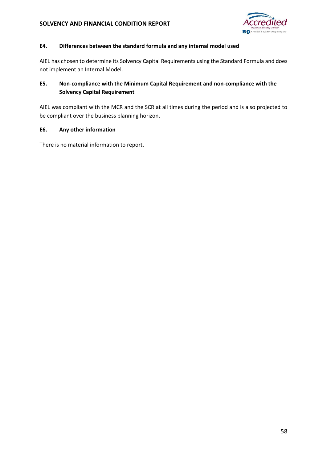

#### **E4. Differences between the standard formula and any internal model used**

AIEL has chosen to determine its Solvency Capital Requirements using the Standard Formula and does not implement an Internal Model.

### **E5. Non-compliance with the Minimum Capital Requirement and non-compliance with the Solvency Capital Requirement**

AIEL was compliant with the MCR and the SCR at all times during the period and is also projected to be compliant over the business planning horizon.

### **E6. Any other information**

There is no material information to report.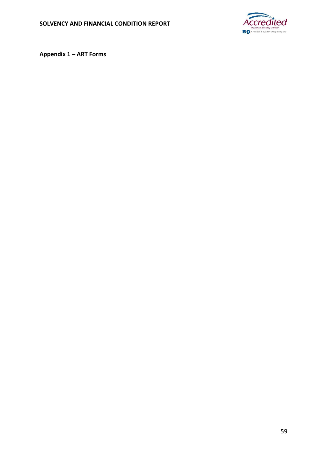

**Appendix 1 – ART Forms**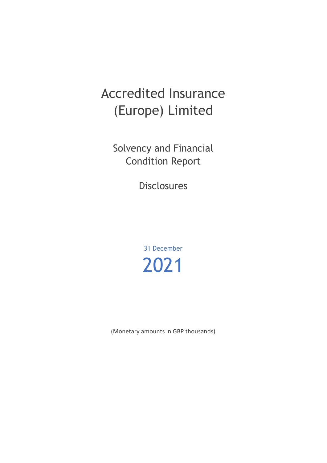# Accredited Insurance (Europe) Limited

Solvency and Financial Condition Report

Disclosures

31 December 2021

(Monetary amounts in GBP thousands)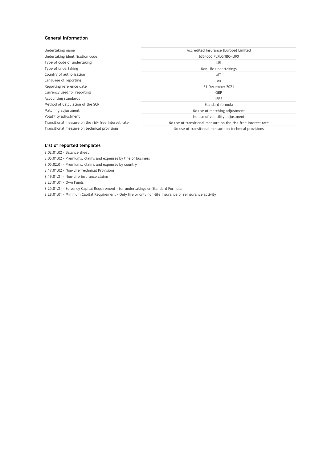#### **General information**

| Undertaking name                                    | Accredited Insurance (Europe) Limited                         |
|-----------------------------------------------------|---------------------------------------------------------------|
| Undertaking identification code                     | 635400CIPL7LGNBO4U90                                          |
| Type of code of undertaking                         | LEI                                                           |
| Type of undertaking                                 | Non-life undertakings                                         |
| Country of authorisation                            | MT                                                            |
| Language of reporting                               | en                                                            |
| Reporting reference date                            | 31 December 2021                                              |
| Currency used for reporting                         | GBP                                                           |
| Accounting standards                                | <b>IFRS</b>                                                   |
| Method of Calculation of the SCR                    | Standard formula                                              |
| Matching adjustment                                 | No use of matching adjustment                                 |
| Volatility adjustment                               | No use of volatility adjustment                               |
| Transitional measure on the risk-free interest rate | No use of transitional measure on the risk-free interest rate |
| Transitional measure on technical provisions        | No use of transitional measure on technical provisions        |
|                                                     |                                                               |

#### **List of reported templates**

S.02.01.02 - Balance sheet

- S.05.01.02 Premiums, claims and expenses by line of business
- S.05.02.01 Premiums, claims and expenses by country
- S.17.01.02 Non-Life Technical Provisions
- S.19.01.21 Non-Life insurance claims
- S.23.01.01 Own Funds

S.25.01.21 - Solvency Capital Requirement - for undertakings on Standard Formula

S.28.01.01 - Minimum Capital Requirement - Only life or only non-life insurance or reinsurance activity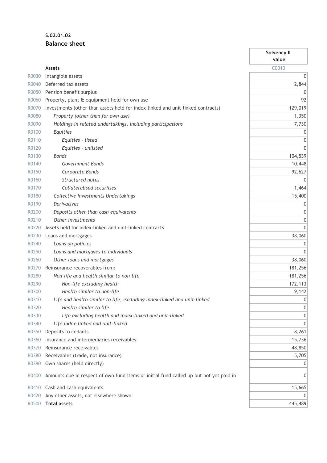## **S.02.01.02 Balance sheet**

|       |                                                                                        | Solvency II<br>value |
|-------|----------------------------------------------------------------------------------------|----------------------|
|       | <b>Assets</b>                                                                          | C0010                |
| R0030 | Intangible assets                                                                      | 0                    |
| R0040 | Deferred tax assets                                                                    | 2,844                |
| R0050 | Pension benefit surplus                                                                | 0                    |
| R0060 | Property, plant & equipment held for own use                                           | 92                   |
| R0070 | Investments (other than assets held for index-linked and unit-linked contracts)        | 129,019              |
| R0080 | Property (other than for own use)                                                      | 1,350                |
| R0090 | Holdings in related undertakings, including participations                             | 7,730                |
| R0100 | Equities                                                                               | 0                    |
| R0110 | Equities - listed                                                                      | 0                    |
| R0120 | Equities - unlisted                                                                    | 0                    |
| R0130 | <b>Bonds</b>                                                                           | 104,539              |
| R0140 | Government Bonds                                                                       | 10,448               |
| R0150 | Corporate Bonds                                                                        | 92,627               |
| R0160 | Structured notes                                                                       | $\overline{0}$       |
| R0170 | Collateralised securities                                                              | 1,464                |
| R0180 | Collective Investments Undertakings                                                    | 15,400               |
| R0190 | <b>Derivatives</b>                                                                     | 0                    |
| R0200 | Deposits other than cash equivalents                                                   | 0                    |
| R0210 | Other investments                                                                      | 0                    |
| R0220 | Assets held for index-linked and unit-linked contracts                                 | 0                    |
| R0230 | Loans and mortgages                                                                    | 38,060               |
| R0240 | Loans on policies                                                                      | 0                    |
| R0250 | Loans and mortgages to individuals                                                     | 0                    |
| R0260 | Other loans and mortgages                                                              | 38,060               |
| R0270 | Reinsurance recoverables from:                                                         | 181,256              |
| R0280 | Non-life and health similar to non-life                                                | 181,256              |
| R0290 | Non-life excluding health                                                              | 172,113              |
| R0300 | Health similar to non-life                                                             | 9,142                |
| R0310 | Life and health similar to life, excluding index-linked and unit-linked                | 0                    |
| R0320 | Health similar to life                                                                 | 0                    |
| R0330 | Life excluding health and index-linked and unit-linked                                 | 0                    |
| R0340 | Life index-linked and unit-linked                                                      | 0                    |
| R0350 | Deposits to cedants                                                                    | 8,261                |
| R0360 | Insurance and intermediaries receivables                                               | 15,736               |
| R0370 | Reinsurance receivables                                                                | 48,850               |
| R0380 | Receivables (trade, not insurance)                                                     | 5,705                |
| R0390 | Own shares (held directly)                                                             | $\vert 0 \vert$      |
| R0400 | Amounts due in respect of own fund items or initial fund called up but not yet paid in | 0                    |
| R0410 | Cash and cash equivalents                                                              | 15,665               |
| R0420 | Any other assets, not elsewhere shown                                                  | 0                    |
| R0500 | <b>Total assets</b>                                                                    | 445,489              |

ī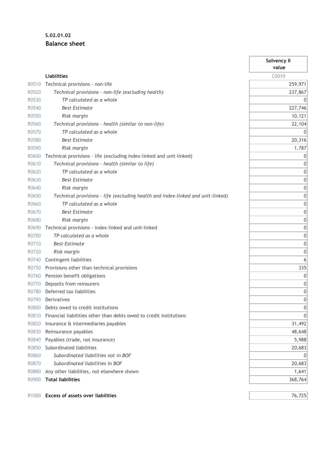## **S.02.01.02 Balance sheet**

|                   |                                                                                 | Solvency II<br>value |
|-------------------|---------------------------------------------------------------------------------|----------------------|
|                   | <b>Liabilities</b>                                                              | C0010                |
| R0510             | Technical provisions - non-life                                                 | 259,971              |
| R0520             | Technical provisions - non-life (excluding health)                              | 237,867              |
| R0530             | TP calculated as a whole                                                        | 0                    |
| R0540             | <b>Best Estimate</b>                                                            | 227,746              |
| R0550             | Risk margin                                                                     | 10,121               |
| R0560             | Technical provisions - health (similar to non-life)                             | 22,104               |
| R0570             | TP calculated as a whole                                                        | 0                    |
| R0580             | <b>Best Estimate</b>                                                            | 20,316               |
| R0590             | Risk margin                                                                     | 1,787                |
| R0600             | Technical provisions - life (excluding index-linked and unit-linked)            | 0                    |
| R0610             | Technical provisions - health (similar to life)                                 | 0                    |
| R0620             | TP calculated as a whole                                                        | 0                    |
| R0630             | <b>Best Estimate</b>                                                            | 0                    |
| R0640             | Risk margin                                                                     | 0                    |
| R0650             | Technical provisions - life (excluding health and index-linked and unit-linked) | 0                    |
| R0660             | TP calculated as a whole                                                        | 0                    |
| R0670             | <b>Best Estimate</b>                                                            | 0                    |
| R0680             | Risk margin                                                                     | 0                    |
| R0690             | Technical provisions - index-linked and unit-linked                             | 0                    |
| R0700             | TP calculated as a whole                                                        | 0                    |
| R0710             | <b>Best Estimate</b>                                                            | 0                    |
| R0720             | Risk margin                                                                     | 0                    |
| R0740             | Contingent liabilities                                                          | 6                    |
| R0750             | Provisions other than technical provisions                                      | 335                  |
| R0760             | Pension benefit obligations                                                     | 0                    |
| R0770             | Deposits from reinsurers                                                        | 0                    |
| R0780             | Deferred tax liabilities                                                        | 0                    |
| R0790             | Derivatives                                                                     | 0                    |
| R0800             | Debts owed to credit institutions                                               | 0                    |
| R0810             | Financial liabilities other than debts owed to credit institutions              | 0                    |
| R0820             | Insurance & intermediaries payables                                             | 31,492               |
| R0830             | Reinsurance payables                                                            | 48,648               |
| R0840             | Payables (trade, not insurance)                                                 | 5,988                |
| R0850             | Subordinated liabilities                                                        | 20,683               |
| R0860             | Subordinated liabilities not in BOF                                             |                      |
| R0870             | Subordinated liabilities in BOF                                                 | 20,683               |
| R0880             | Any other liabilities, not elsewhere shown                                      | 1,641                |
| R0900             | <b>Total liabilities</b>                                                        | 368,764              |
|                   |                                                                                 |                      |
| R <sub>1000</sub> | <b>Excess of assets over liabilities</b>                                        | 76,725               |

 $\overline{\phantom{a}}$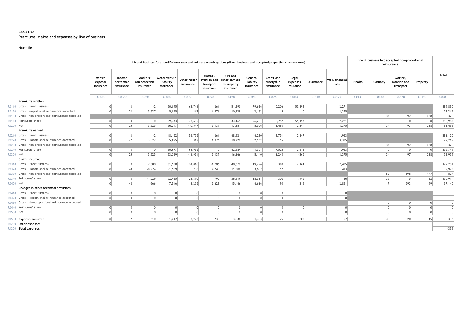#### **S.05.01.02 Premiums, claims and expenses by line of business**

#### **Non-life**

|           |                                                     | Line of Business for: non-life insurance and reinsurance obligations (direct business and accepted proportional reinsurance) |                                   |                                       |                                         |                          |                                                   |                                                      |                                   |                                       | Line of business for: accepted non-proportional<br>reinsurance |            |                         |        |          |                                      |          |          |
|-----------|-----------------------------------------------------|------------------------------------------------------------------------------------------------------------------------------|-----------------------------------|---------------------------------------|-----------------------------------------|--------------------------|---------------------------------------------------|------------------------------------------------------|-----------------------------------|---------------------------------------|----------------------------------------------------------------|------------|-------------------------|--------|----------|--------------------------------------|----------|----------|
|           |                                                     | Medical<br>expense<br>insurance                                                                                              | Income<br>protection<br>insurance | Workers'<br>compensation<br>insurance | Motor vehicle<br>liability<br>insurance | Other motor<br>insurance | Marine.<br>aviation and<br>transport<br>insurance | Fire and<br>other damage<br>to property<br>insurance | General<br>liability<br>insurance | Credit and<br>suretyship<br>insurance | Legal<br>expenses<br>insurance                                 | Assistance | Misc. financial<br>loss | Health | Casualty | Marine.<br>aviation and<br>transport | Property | Total    |
|           |                                                     | C0010                                                                                                                        | C0020                             | C0030                                 | C0040                                   | C0050                    | C0060                                             | C0070                                                | C0080                             | C0090                                 | C0100                                                          | C0110      | C0120                   | C0130  | C0140    | C0150                                | C0160    | C0200    |
|           | <b>Premiums written</b>                             |                                                                                                                              |                                   |                                       |                                         |                          |                                                   |                                                      |                                   |                                       |                                                                |            |                         |        |          |                                      |          |          |
|           | R0110 Gross - Direct Business                       |                                                                                                                              | 3 <sup>1</sup>                    | $-2$                                  | 130,095                                 | 62,741                   | 261                                               | 51,290                                               | 79,626                            | 10,206                                | 53,398                                                         |            | 2,271                   |        |          |                                      |          | 389,890  |
|           | R0120 Gross - Proportional reinsurance accepted     | $\cap$                                                                                                                       | 22                                | 3,327                                 | 5,895                                   | 317                      | 1,876                                             | 10,229                                               | 2,162                             | 15                                    |                                                                |            | 3,375                   |        |          |                                      |          | 27,219   |
|           | R0130 Gross - Non-proportional reinsurance accepted |                                                                                                                              |                                   |                                       |                                         |                          |                                                   |                                                      |                                   |                                       |                                                                |            |                         |        | 34       | 97                                   | 238      | 370      |
|           | R0140 Reinsurers' share                             |                                                                                                                              | 0                                 | 0                                     | 99,743                                  | 73,605                   | $\overline{0}$                                    | 44,169                                               | 76,281                            | 8,757                                 | 51,154                                                         |            | 2,271                   |        |          | $\Omega$                             |          | 355,982  |
| R0200 Net |                                                     |                                                                                                                              | 25                                | 3,325                                 | 36,247                                  | $-10,547$                | 2,137                                             | 17,351                                               | 5,506                             | 1,463                                 | 2,244                                                          |            | 3,375                   |        | 34       | 97                                   | 238      | 61,496   |
|           | <b>Premiums earned</b>                              |                                                                                                                              |                                   |                                       |                                         |                          |                                                   |                                                      |                                   |                                       |                                                                |            |                         |        |          |                                      |          |          |
|           | R0210 Gross - Direct Business                       |                                                                                                                              |                                   | $-2$                                  | 118, 152                                | 56,755                   | 261                                               | 48,621                                               | 44,280                            | 8,751                                 | 2,347                                                          |            | 1,953                   |        |          |                                      |          | 281,120  |
|           | R0220 Gross - Proportional reinsurance accepted     |                                                                                                                              | 22                                | 3,327                                 | 5,895                                   | 317                      | 1,876                                             | 10,229                                               | 2,162                             | 15                                    | $\Omega$                                                       |            | 3,375                   |        |          |                                      |          | 27,219   |
|           | R0230 Gross - Non-proportional reinsurance accepted |                                                                                                                              |                                   |                                       |                                         |                          |                                                   |                                                      |                                   |                                       |                                                                |            |                         |        | 34       | 97                                   | 238      | 370      |
|           | R0240 Reinsurers' share                             |                                                                                                                              |                                   | $\Omega$                              | 90,677                                  | 68,995                   |                                                   | 42,684                                               | 41,301                            | 7,526                                 | 2.612                                                          |            | 1,953                   |        | $\Omega$ | $\Omega$                             |          | 255,749  |
| R0300 Net |                                                     |                                                                                                                              | 25                                | 3,325                                 | 33,369                                  | $-11,924$                | 2,137                                             | 16,166                                               | 5,140                             | 1,240                                 | $-265$                                                         |            | 3,375                   |        | 34       | 97                                   | 238      | 52,959   |
|           | <b>Claims incurred</b>                              |                                                                                                                              |                                   |                                       |                                         |                          |                                                   |                                                      |                                   |                                       |                                                                |            |                         |        |          |                                      |          |          |
|           | R0310 Gross - Direct Business                       |                                                                                                                              | 0                                 | 7,580                                 | 81,580                                  | 24,810                   | $-1,706$                                          | 40,679                                               | 19,296                            | 380                                   | 2,161                                                          |            | 2,475                   |        |          |                                      |          | 177,254  |
|           | R0320 Gross - Proportional reinsurance accepted     |                                                                                                                              | 48                                | $-8,974$                              | $-1,569$                                | 756                      | 4,245                                             | 11,386                                               | 3,657                             | 12                                    | $\Omega$                                                       |            | 413                     |        |          |                                      |          | 9,973    |
|           | R0330 Gross - Non-proportional reinsurance accepted |                                                                                                                              |                                   |                                       |                                         |                          |                                                   |                                                      |                                   |                                       |                                                                |            |                         |        | 52       | 598                                  | 177      | 827      |
|           | R0340 Reinsurers' share                             |                                                                                                                              | $\Omega$                          | $-1,029$                              | 72,465                                  | 22,310                   | $-90$                                             | 36,619                                               | 18,337                            | 302                                   | 1,945                                                          |            | 36                      |        | 35       |                                      | $-22$    | 150,914  |
| R0400 Net |                                                     |                                                                                                                              | 48                                | $-366$                                | 7.546                                   | 3.255                    | 2,628                                             | 15,446                                               | 4,616                             | 90                                    | 216                                                            |            | 2,851                   |        | 17       | 593                                  | 199      | 37,140   |
|           | Changes in other technical provisions               |                                                                                                                              |                                   |                                       |                                         |                          |                                                   |                                                      |                                   |                                       |                                                                |            |                         |        |          |                                      |          |          |
|           | R0410 Gross - Direct Business                       |                                                                                                                              |                                   | $\overline{0}$                        | $\mathbf 0$                             |                          |                                                   |                                                      |                                   | $\Omega$                              | $\Omega$                                                       |            |                         |        |          |                                      |          | 0        |
|           | R0420 Gross - Proportional reinsurance accepted     |                                                                                                                              | $\Omega$                          | 0                                     | $\Omega$                                |                          |                                                   |                                                      | $\cap$                            | $\Omega$                              | $\Omega$                                                       |            |                         |        |          |                                      |          | $\Omega$ |
|           | R0430 Gross - Non-proportional reinsurance accepted |                                                                                                                              |                                   |                                       |                                         |                          |                                                   |                                                      |                                   |                                       |                                                                |            |                         |        |          |                                      |          |          |
|           | R0440 Reinsurers' share                             |                                                                                                                              |                                   | 0                                     | 0                                       |                          |                                                   |                                                      | $\Omega$                          | 0                                     | 0 <sup>1</sup>                                                 |            |                         |        |          |                                      |          |          |
| R0500 Net |                                                     |                                                                                                                              | $\Omega$                          | 0                                     | 0                                       | $\Omega$                 |                                                   | $\Omega$                                             | $\Omega$                          | 0                                     | 0                                                              |            | $\Omega$                |        | $\Omega$ | $\Omega$                             | $\Omega$ | $\Omega$ |
|           | R0550 Expenses incurred                             | $\Omega$                                                                                                                     | 2                                 | 510                                   | 1,217                                   | $-3,228$                 | 235                                               | 3,046                                                | $-1,453$                          | $-76$                                 | $-602$                                                         |            | $-67$                   |        | 45       | 20 <sup>1</sup>                      | 15       | $-336$   |
|           | R1200 Other expenses                                |                                                                                                                              |                                   |                                       |                                         |                          |                                                   |                                                      |                                   |                                       |                                                                |            |                         |        |          |                                      |          |          |

R1200 **Other expenses** R1300 **Total expenses** -336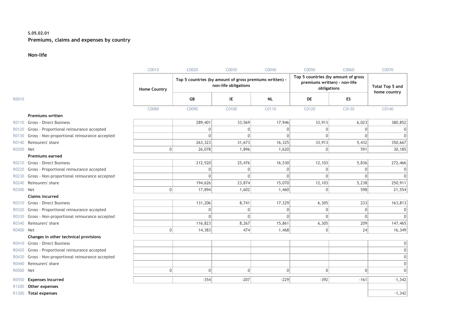#### **S.05.02.01 Premiums, claims and expenses by country**

#### **Non-life**

|                   |                                                 | C0010               | C0020                                                   | C0030                | C0040        | C0050                                                                              | C0060     | C0070                           |
|-------------------|-------------------------------------------------|---------------------|---------------------------------------------------------|----------------------|--------------|------------------------------------------------------------------------------------|-----------|---------------------------------|
|                   |                                                 | <b>Home Country</b> | Top 5 countries (by amount of gross premiums written) - | non-life obligations |              | Top 5 countries (by amount of gross<br>premiums written) - non-life<br>obligations |           | Total Top 5 and<br>home country |
| R0010             |                                                 |                     | GB                                                      | ΙE                   | <b>NL</b>    | DE                                                                                 | <b>ES</b> |                                 |
|                   |                                                 | C0080               | C0090                                                   | C0100                | C0110        | C0120                                                                              | C0130     | C0140                           |
|                   | <b>Premiums written</b>                         |                     |                                                         |                      |              |                                                                                    |           |                                 |
| R0110             | Gross - Direct Business                         |                     | 289,401                                                 | 33,569               | 17,946       | 33,913                                                                             | 6,023     | 380,852                         |
| R0120             | Gross - Proportional reinsurance accepted       |                     | $\Omega$                                                | $\mathbf 0$          | $\Omega$     | $\mathbf{0}$                                                                       | 0         |                                 |
| R0130             | Gross - Non-proportional reinsurance accepted   |                     | $\Omega$                                                | $\mathbf{0}$         | $\Omega$     | $\Omega$                                                                           | $\Omega$  |                                 |
| R0140             | Reinsurers' share                               |                     | 263,323                                                 | 31,673               | 16,325       | 33,913                                                                             | 5,432     | 350,667                         |
| R0200             | Net                                             | 0                   | 26,078                                                  | 1,896                | 1,620        | $\overline{0}$                                                                     | 591       | 30,185                          |
|                   | <b>Premiums earned</b>                          |                     |                                                         |                      |              |                                                                                    |           |                                 |
| R0210             | Gross - Direct Business                         |                     | 212,520                                                 | 25,476               | 16,530       | 12,103                                                                             | 5,836     | 272,466                         |
| R0220             | Gross - Proportional reinsurance accepted       |                     | 0                                                       | $\mathbf{0}$         | $\mathbf{0}$ | $\mathbf{0}$                                                                       | 0         |                                 |
| R0230             | Gross - Non-proportional reinsurance accepted   |                     | $\Omega$                                                | $\Omega$             | $\Omega$     | $\Omega$                                                                           | $\Omega$  |                                 |
| R0240             | Reinsurers' share                               |                     | 194,626                                                 | 23,874               | 15,070       | 12,103                                                                             | 5,238     | 250,911                         |
| R0300 Net         |                                                 | 0                   | 17,894                                                  | 1,602                | 1,460        | $\overline{0}$                                                                     | 598       | 21,554                          |
|                   | <b>Claims incurred</b>                          |                     |                                                         |                      |              |                                                                                    |           |                                 |
| R0310             | Gross - Direct Business                         |                     | 131,206                                                 | 8,741                | 17,329       | 6,305                                                                              | 233       | 163,813                         |
|                   | R0320 Gross - Proportional reinsurance accepted |                     | $\Omega$                                                | $\mathbf 0$          | $\mathbf{0}$ | $\Omega$                                                                           | 0         |                                 |
| R0330             | Gross - Non-proportional reinsurance accepted   |                     | $\Omega$                                                | $\Omega$             | $\Omega$     | $\Omega$                                                                           | 0         |                                 |
| R0340             | Reinsurers' share                               |                     | 116,823                                                 | 8,267                | 15,861       | 6,305                                                                              | 209       | 147,465                         |
| R0400 Net         |                                                 | $\vert$ 0           | 14,383                                                  | 474                  | 1,468        | $\overline{0}$                                                                     | 24        | 16,349                          |
|                   | Changes in other technical provisions           |                     |                                                         |                      |              |                                                                                    |           |                                 |
|                   | R0410 Gross - Direct Business                   |                     |                                                         |                      |              |                                                                                    |           |                                 |
| R0420             | Gross - Proportional reinsurance accepted       |                     |                                                         |                      |              |                                                                                    |           |                                 |
| R0430             | Gross - Non-proportional reinsurance accepted   |                     |                                                         |                      |              |                                                                                    |           |                                 |
| R0440             | Reinsurers' share                               |                     |                                                         |                      |              |                                                                                    |           |                                 |
| R0500 Net         |                                                 | 0                   | $\Omega$                                                | 0                    | 0            | $\overline{0}$                                                                     | 0         |                                 |
| R0550             | <b>Expenses incurred</b>                        |                     | $-354$                                                  | $-207$               | $-229$       | $-392$                                                                             | $-161$    | $-1,342$                        |
| R <sub>1200</sub> | Other expenses                                  |                     |                                                         |                      |              |                                                                                    |           |                                 |
|                   | R1300 Total expenses                            |                     |                                                         |                      |              |                                                                                    |           | $-1,342$                        |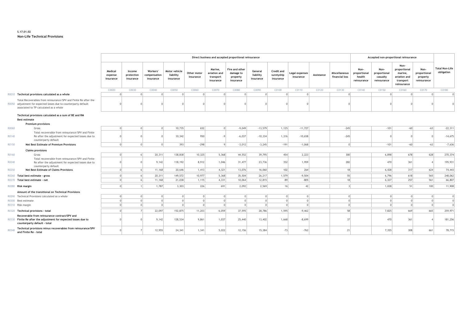#### **S.17.01.02 Non-Life Technical Provisions**

|       |                                                                                                                                                                               |                                 | Direct business and accepted proportional reinsurance |                                       |                                         |                          |                                                   |                                                      |                                   |                                       |                             | Accepted non-proportional reinsurance |                                 |                                               |                                                 |                                                                             |                                                 |                                     |
|-------|-------------------------------------------------------------------------------------------------------------------------------------------------------------------------------|---------------------------------|-------------------------------------------------------|---------------------------------------|-----------------------------------------|--------------------------|---------------------------------------------------|------------------------------------------------------|-----------------------------------|---------------------------------------|-----------------------------|---------------------------------------|---------------------------------|-----------------------------------------------|-------------------------------------------------|-----------------------------------------------------------------------------|-------------------------------------------------|-------------------------------------|
|       |                                                                                                                                                                               | Medical<br>expense<br>insurance | Income<br>protection<br>insurance                     | Workers'<br>compensation<br>insurance | Motor vehicle<br>liability<br>insurance | Other motor<br>insurance | Marine.<br>aviation and<br>transport<br>insurance | Fire and other<br>damage to<br>property<br>insurance | General<br>liability<br>insurance | Credit and<br>suretyship<br>insurance | Legal expenses<br>insurance | Assistance                            | Miscellaneous<br>financial loss | Non-<br>proportional<br>health<br>reinsurance | Non-<br>proportional<br>casualty<br>reinsurance | Non-<br>proportional<br>marine,<br>aviation and<br>transport<br>reinsurance | Non-<br>proportional<br>property<br>reinsurance | <b>Total Non-Life</b><br>obligation |
|       |                                                                                                                                                                               | C0020                           | C0030                                                 | C0040                                 | C0050                                   | C0060                    | C0070                                             | C0080                                                | C0090                             | C0100                                 | C0110                       | C0120                                 | C0130                           | C0140                                         | C0150                                           | C0160                                                                       | C0170                                           | C0180                               |
|       | R0010 Technical provisions calculated as a whole                                                                                                                              |                                 | $\Omega$                                              | $\cap$                                | $\Omega$                                | $\Omega$                 | $\Omega$                                          |                                                      | $\Omega$                          | $\Omega$                              | $\cap$                      |                                       |                                 |                                               |                                                 |                                                                             |                                                 |                                     |
|       | Total Recoverables from reinsurance/SPV and Finite Re after the<br>R0050 adjustment for expected losses due to counterparty default<br>associated to TP calculated as a whole |                                 |                                                       |                                       |                                         |                          |                                                   |                                                      |                                   |                                       |                             |                                       |                                 |                                               |                                                 |                                                                             |                                                 |                                     |
|       | Technical provisions calculated as a sum of BE and RM                                                                                                                         |                                 |                                                       |                                       |                                         |                          |                                                   |                                                      |                                   |                                       |                             |                                       |                                 |                                               |                                                 |                                                                             |                                                 |                                     |
|       | <b>Best estimate</b>                                                                                                                                                          |                                 |                                                       |                                       |                                         |                          |                                                   |                                                      |                                   |                                       |                             |                                       |                                 |                                               |                                                 |                                                                             |                                                 |                                     |
|       | <b>Premium provisions</b>                                                                                                                                                     |                                 |                                                       |                                       |                                         |                          |                                                   |                                                      |                                   |                                       |                             |                                       |                                 |                                               |                                                 |                                                                             |                                                 |                                     |
| R0060 | Gross                                                                                                                                                                         |                                 | $\Omega$                                              |                                       | 10,735                                  | 652                      | $\Omega$                                          | $-9,049$                                             | $-13,579$                         | 1,125                                 | $-11,727$                   |                                       | $-245$                          |                                               | $-101$                                          | $-60$                                                                       | $-63$                                           | $-22,311$                           |
| R0140 | Total recoverable from reinsurance/SPV and Finite<br>Re after the adjustment for expected losses due to<br>counterparty default                                               |                                 |                                                       |                                       | 10,342                                  | 950                      | $-9$                                              | $-6,037$                                             | $-10,334$                         | 1,316                                 | $-10,658$                   |                                       | $-245$                          |                                               |                                                 |                                                                             |                                                 | $-14,675$                           |
| R0150 | <b>Net Best Estimate of Premium Provisions</b>                                                                                                                                |                                 | $\Omega$                                              | $\cap$                                | 393                                     | $-298$                   | $\mathsf{Q}$                                      | $-3,012$                                             | $-3,245$                          | $-191$                                | $-1.068$                    |                                       | $\Omega$                        |                                               | $-101$                                          | $-60$                                                                       | $-63$                                           | $-7,636$                            |
|       | <b>Claims provisions</b>                                                                                                                                                      |                                 |                                                       |                                       |                                         |                          |                                                   |                                                      |                                   |                                       |                             |                                       |                                 |                                               |                                                 |                                                                             |                                                 |                                     |
| R0160 | Gross                                                                                                                                                                         |                                 |                                                       | 20,311                                | 138,838                                 | 10,325                   | 5,368                                             | 44,552                                               | 39,795                            | 454                                   | 2,223                       |                                       | 300                             |                                               | 6,898                                           | 678                                                                         | 628                                             | 270,374                             |
| R0240 | Total recoverable from reinsurance/SPV and Finite<br>Re after the adjustment for expected losses due to<br>counterparty default                                               |                                 |                                                       | 9,142                                 | 118,192                                 | 8.912                    | 1,046                                             | 31,477                                               | 23,736                            | 352                                   | 1,959                       |                                       | 282                             |                                               | 470                                             | 361                                                                         |                                                 | 195,931                             |
| R0250 | <b>Net Best Estimate of Claims Provisions</b>                                                                                                                                 |                                 | -61                                                   | 11,168                                | 20,646                                  | 1,413                    | 4,321                                             | 13,076                                               | 16,060                            | 102                                   | 264                         |                                       | 18                              |                                               | 6.428                                           | 317                                                                         | 624                                             | 74,443                              |
|       | R0260 Total best estimate - gross                                                                                                                                             |                                 | 6                                                     | 20,311                                | 149,572                                 | 10,977                   | 5,368                                             | 35,504                                               | 26,217                            | 1,579                                 | $-9,504$                    |                                       | 55                              |                                               | 6,796                                           | 618                                                                         | 565                                             | 248,062                             |
|       | R0270 Total best estimate - net                                                                                                                                               |                                 |                                                       | 11,168                                | 21,038                                  | 1,115                    | 4,331                                             | 10,064                                               | 12,815                            | $-89$                                 | $-805$                      |                                       | 18                              |                                               | 6,327                                           | 257                                                                         | 561                                             | 66,807                              |
|       | R0280 Risk margin                                                                                                                                                             |                                 | 1                                                     | 1,787                                 | 3,303                                   | 226                      | 691                                               | 2,092                                                | 2,569                             | 16                                    | 42                          |                                       | $\overline{3}$                  |                                               | 1,028                                           | 51                                                                          | 100                                             | 11,908                              |
|       |                                                                                                                                                                               |                                 |                                                       |                                       |                                         |                          |                                                   |                                                      |                                   |                                       |                             |                                       |                                 |                                               |                                                 |                                                                             |                                                 |                                     |
|       | Amount of the transitional on Technical Provisions<br>R0290 Technical Provisions calculated as a whole                                                                        |                                 | $\Omega$                                              | $\Omega$                              | $\Omega$                                | $\overline{0}$           | $\overline{0}$                                    |                                                      | $\Omega$                          |                                       |                             |                                       | $\Omega$                        |                                               | $\Omega$                                        |                                                                             |                                                 | $\Omega$                            |
|       | R0300 Best estimate                                                                                                                                                           |                                 | 0                                                     | $\Omega$                              | $\Omega$                                | 0                        | $\circ$                                           | $\cap$                                               | $\Omega$                          | 0 <br> 0                              | 0 <br> 0                    |                                       | $\cap$                          |                                               | $\Omega$                                        | $\Omega$                                                                    |                                                 | $\Omega$                            |
|       | R0310 Risk margin                                                                                                                                                             |                                 | $\Omega$                                              |                                       | $\Omega$                                | $\Omega$                 | $\Omega$                                          |                                                      |                                   | $\Omega$                              | $\Omega$                    |                                       | $\Omega$                        |                                               | $\Omega$                                        | $\Omega$                                                                    |                                                 |                                     |
|       |                                                                                                                                                                               |                                 |                                                       |                                       |                                         |                          |                                                   |                                                      |                                   |                                       |                             |                                       |                                 |                                               |                                                 |                                                                             |                                                 |                                     |
|       | R0320 Technical provisions - total                                                                                                                                            |                                 | 7 <sup>1</sup>                                        | 22,097                                | 152,875                                 | 11,203                   | 6,059                                             | 37,595                                               | 28,786                            | 1,595                                 | $-9,462$                    |                                       | 58                              |                                               | 7,825                                           | 669                                                                         | 665                                             | 259,971                             |
|       | Recoverable from reinsurance contract/SPV and<br>R0330 Finite Re after the adjustment for expected losses due to<br>counterparty default - total                              |                                 |                                                       | 9,142                                 | 128,534                                 | 9,861                    | 1,037                                             | 25,440                                               | 13,402                            | 1,668                                 | $-8,699$                    |                                       | 37                              |                                               | 470                                             | 361                                                                         |                                                 | 181,256                             |
| R0340 | Technical provisions minus recoverables from reinsurance/SPV<br>and Finite Re - total                                                                                         |                                 |                                                       | 12,955                                | 24,341                                  | 1,341                    | 5,022                                             | 12,156                                               | 15,384                            | $-73$                                 | $-762$                      |                                       | 21                              |                                               | 7,355                                           | 308                                                                         | 661                                             | 78,715                              |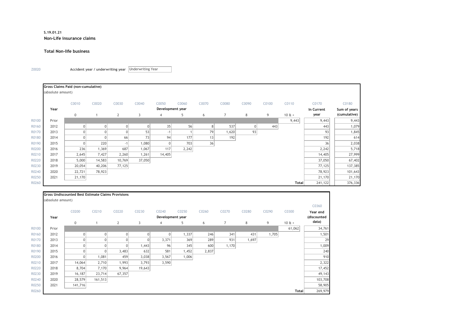#### **S.19.01.21 Non-Life insurance claims**

#### **Total Non-life business**

Z0020 **Accident year / underwriting year**  Underwriting Year

|       |                   | Gross Claims Paid (non-cumulative) |        |                |                |                  |       |                |       |       |       |              |            |              |
|-------|-------------------|------------------------------------|--------|----------------|----------------|------------------|-------|----------------|-------|-------|-------|--------------|------------|--------------|
|       | (absolute amount) |                                    |        |                |                |                  |       |                |       |       |       |              |            |              |
|       |                   | C0010                              | C0020  | C0030          | C0040          | C0050            | C0060 | C0070          | C0080 | C0090 | C0100 | C0110        | C0170      | C0180        |
|       | Year              |                                    |        |                |                | Development year |       |                |       |       |       |              | In Current | Sum of years |
|       |                   | $\mathbf 0$                        |        | $\overline{2}$ | $\overline{3}$ | $\overline{4}$   | 5     | 6              | 7     | 8     | 9     | $10E +$      | year       | (cumulative) |
| R0100 | Prior             |                                    |        |                |                |                  |       |                |       |       |       | 9,443        | 9,443      | 9,443        |
| R0160 | 2012              | 0                                  |        | $\Omega$       | 0              | 35               | 56    | 8 <sup>1</sup> | 537   |       | 443   |              | 443        | 1,079        |
| R0170 | 2013              | 0                                  |        |                | 53             | $-1$             |       | 79             | 1,620 | 93    |       |              | 93         | 1,845        |
| R0180 | 2014              | 0                                  |        | 66             | 73             | 94               | 177   | 13             | 192   |       |       |              | 192        | 614          |
| R0190 | 2015              | 0                                  | 220    | $-1$           | 1,080          | $\overline{0}$   | 703   | 36             |       |       |       |              | 36         | 2,038        |
| R0200 | 2016              | 236                                | 1,369  | 687            | 1,067          | 117              | 2,242 |                |       |       |       |              | 2,242      | 5,718        |
| R0210 | 2017              | 2,645                              | 7,427  | 2,260          | 1,261          | 14,405           |       |                |       |       |       |              | 14,405     | 27,999       |
| R0220 | 2018              | 5,000                              | 14,583 | 10,769         | 37,050         |                  |       |                |       |       |       |              | 37,050     | 67,402       |
| R0230 | 2019              | 20,054                             | 40,206 | 77,125         |                |                  |       |                |       |       |       |              | 77,125     | 137,385      |
| R0240 | 2020              | 22,721                             | 78,923 |                |                |                  |       |                |       |       |       |              | 78,923     | 101,643      |
| R0250 | 2021              | 21,170                             |        |                |                |                  |       |                |       |       |       |              | 21,170     | 21,170       |
| R0260 |                   |                                    |        |                |                |                  |       |                |       |       |       | <b>Total</b> | 241,122    | 376,336      |

|       |                   | <b>Gross Undiscounted Best Estimate Claims Provisions</b> |                |                |        |                  |       |       |                |       |       |         |             |
|-------|-------------------|-----------------------------------------------------------|----------------|----------------|--------|------------------|-------|-------|----------------|-------|-------|---------|-------------|
|       | (absolute amount) |                                                           |                |                |        |                  |       |       |                |       |       |         |             |
|       |                   |                                                           |                |                |        |                  |       |       |                |       |       |         | C0360       |
|       |                   | C0200                                                     | C0210          | C0220          | C0230  | C0240            | C0250 | C0260 | C0270          | C0280 | C0290 | C0300   | Year end    |
|       | Year              |                                                           |                |                |        | Development year |       |       |                |       |       |         | (discounted |
|       |                   | $\mathbf 0$                                               | 1              | 2              | 3      | $\overline{4}$   | 5     | 6     | $\overline{7}$ | 8     | 9     | $10E +$ | data)       |
| R0100 | Prior             |                                                           |                |                |        |                  |       |       |                |       |       | 61,062  | 34,761      |
| R0160 | 2012              | 0                                                         | $\overline{0}$ | $\overline{0}$ | 0      | 0                | 1,337 | 246   | 341            | 431   | 1,705 |         | 1,501       |
| R0170 | 2013              |                                                           | $\overline{0}$ | 0              |        | 3,371            | 369   | 289   | 931            | 1,697 |       |         | 29          |
| R0180 | 2014              | 0                                                         | $\overline{0}$ | $\overline{0}$ | 1,443  | 96               | 345   | 600   | 1,170          |       |       |         | 1,009       |
| R0190 | 2015              |                                                           | $\overline{0}$ | 3,483          | 632    | 581              | 1,452 | 2,837 |                |       |       |         | 240         |
| R0200 | 2016              | 0                                                         | 1,081          | 459            | 3,038  | 3,567            | 1,006 |       |                |       |       |         | 910         |
| R0210 | 2017              | 14,064                                                    | 2,710          | 1,993          | 3,793  | 3,590            |       |       |                |       |       |         | 2,322       |
| R0220 | 2018              | 8,704                                                     | 7,170          | 9,964          | 19,643 |                  |       |       |                |       |       |         | 17,452      |
| R0230 | 2019              | 16,187                                                    | 23,714         | 67,357         |        |                  |       |       |                |       |       |         | 49,143      |
| R0240 | 2020              | 28,579                                                    | 161,513        |                |        |                  |       |       |                |       |       |         | 103,708     |
| R0250 | 2021              | 141,716                                                   |                |                |        |                  |       |       |                |       |       |         | 58,905      |
| R0260 |                   |                                                           |                |                |        |                  |       |       |                |       |       | Total   | 269,979     |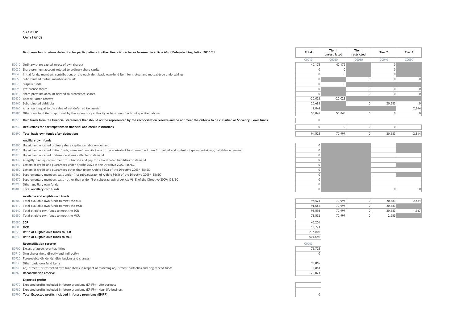#### **S.23.01.01 Own Funds**

#### **Basic own funds before deduction for participations in other financial sector as foreseen in article 68 of Delegated Regulation 2015/35 Total Tier 1**

- R0010 Ordinary share capital (gross of own shares)
- R0030 Share premium account related to ordinary share capital
- R0040 Initial funds, members' contributions or the equivalent basic own-fund item for mutual and mutual-type undertakings
- $R0050$  Subordinated mutual member accounts
- 
- 
- R0110 Share premium account related to preference shares
- R0130 Reconciliation reserve
- 
- R0160 An amount equal to the value of net deferred tax assets
- R0180 Other own fund items approved by the supervisory authority as basic own funds not specified above

#### R0220 Own funds from the financial statements that should not be represented by the reconciliation reserve and do not meet the criteria to be classified as Solvency II own funds

- **R0230 Deductions for participations in financial and credit institutions**
- **R0290 Total basic own funds after deductions**

#### **Ancillary own funds**

- R0300 Unpaid and uncalled ordinary share capital callable on demand 0
- R0310 Unpaid and uncalled initial funds, members' contributions or the equivalent basic own fund item for mutual and mutual type undertakings, callable on demand 0
- R0320 Unpaid and uncalled preference shares callable on demand 0
- R0330 A legally binding commitment to subscribe and pay for subordinated liabilities on demand 0
- $R0340$  Letters of credit and guarantees under Article 96(2) of the Directive 2009/138/EC 0
- R0350 Letters of credit and guarantees other than under Article 96(2) of the Directive 2009/138/EC 0
- R0360 Supplementary members calls under first subparagraph of Article 96(3) of the Directive 2009/138/EC 0
- R0370 Supplementary members calls other than under first subparagraph of Article 96(3) of the Directive 2009/138/EC 0
- 
- 

#### **Available and eligible own funds**

- R0500 Total available own funds to meet the SCR
- R0510 Total available own funds to meet the MCR
- R0540 Total eligible own funds to meet the SCR
- R0550 Total eligible own funds to meet the MCR

- 
- R0620 **Ratio of Eligible own funds to SCR** 207.07%
- R0640 **Ratio of Eligible own funds to MCR** 575.85%

#### **Reconcilliation reserve** C0060

| R0700 |  | Excess of assets over liabilities |
|-------|--|-----------------------------------|
|       |  |                                   |

- R0710 Own shares (held directly and indirectly)
- R0720 Foreseeable dividends, distributions and charges
- R0730 Other basic own fund items
- R0740 Adjustment for restricted own fund items in respect of matching adjustment portfolios and ring fenced funds
- R0760 **Reconciliation reserve** -20,023

#### **Expected profits**

- R0770 Expected profits included in future premiums (EPIFP) Life business
- R0780 Expected profits included in future premiums (EPIFP) Non- life business
- R0790 **Total Expected profits included in future premiums (EPIFP)** 0

|       | Basic own funds before deduction for participations in other financial sector as foreseen in article 68 of Delegated Regulation 2015/35                                     | Total     | Tier 1<br>unrestricted | Tier 1<br>restricted | Tier 2 | Tier 3 |  |
|-------|-----------------------------------------------------------------------------------------------------------------------------------------------------------------------------|-----------|------------------------|----------------------|--------|--------|--|
|       |                                                                                                                                                                             | C0010     | C0020                  | C0030                | C0040  | C0050  |  |
|       | R0010 Ordinary share capital (gross of own shares)                                                                                                                          | 40,175    | 40,175                 |                      |        |        |  |
|       | R0030 Share premium account related to ordinary share capital                                                                                                               |           |                        |                      |        |        |  |
|       | R0040 Initial funds, members' contributions or the equivalent basic own-fund item for mutual and mutual-type undertakings                                                   |           |                        |                      |        |        |  |
|       | R0050 Subordinated mutual member accounts                                                                                                                                   |           |                        |                      |        |        |  |
|       | R0070 Surplus funds                                                                                                                                                         |           |                        |                      |        |        |  |
|       | R0090 Preference shares                                                                                                                                                     |           |                        |                      |        |        |  |
|       | R0110 Share premium account related to preference shares                                                                                                                    |           |                        |                      |        |        |  |
|       | R0130 Reconciliation reserve                                                                                                                                                | $-20,023$ | $-20,023$              |                      |        |        |  |
|       | R0140 Subordinated liabilities                                                                                                                                              | 20,683    |                        |                      | 20,683 |        |  |
|       | R0160 An amount equal to the value of net deferred tax assets                                                                                                               | 2,844     |                        |                      |        | 2.844  |  |
|       | R0180 Other own fund items approved by the supervisory authority as basic own funds not specified above                                                                     | 50,845    | 50,845                 |                      |        |        |  |
| R0220 | Own funds from the financial statements that should not be represented by the reconciliation reserve and do not meet the criteria to be classified as Solvency II own funds |           |                        |                      |        |        |  |
| R0230 | Deductions for participations in financial and credit institutions                                                                                                          |           |                        |                      |        |        |  |
|       | R0290 Total basic own funds after deductions                                                                                                                                | 94,525    | 70,997                 |                      | 20,683 | 2,844  |  |



| 94,525 | 70,997 |   | 20,683 | 2.844 |
|--------|--------|---|--------|-------|
| 91.681 | 70,997 |   | 20,683 |       |
| 93.598 | 70,997 |   | 20,683 | 1,917 |
| 73,552 | 70,997 | υ | 2.555  |       |



| C0060  |
|--------|
| 76,725 |
|        |
|        |
| 93,865 |
| 2,883  |
| ר מח   |

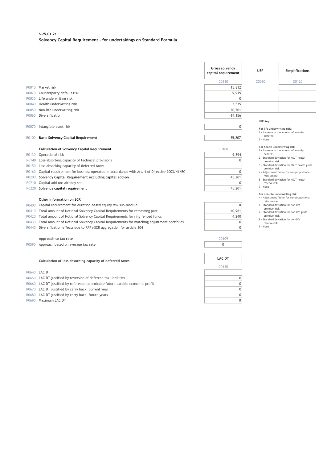#### **S.25.01.21 Solvency Capital Requirement - for undertakings on Standard Formula**

|                |                                                                                             | Gross solvency<br>capital requirement | <b>USP</b>                                                            | <b>Simplifications</b>                                                        |
|----------------|---------------------------------------------------------------------------------------------|---------------------------------------|-----------------------------------------------------------------------|-------------------------------------------------------------------------------|
|                |                                                                                             | C0110                                 | C0090                                                                 | C0120                                                                         |
|                | R0010 Market risk                                                                           | 15,812                                |                                                                       |                                                                               |
| R0020          | Counterparty default risk                                                                   | 9,915                                 |                                                                       |                                                                               |
| R0030          | Life underwriting risk                                                                      | $\Omega$                              |                                                                       |                                                                               |
| R0040          | Health underwriting risk                                                                    | 3,535                                 |                                                                       |                                                                               |
| R0050          | Non-life underwriting risk                                                                  | 20,701                                |                                                                       |                                                                               |
| R0060          | Diversification                                                                             | $-14,156$                             |                                                                       |                                                                               |
| R0070<br>R0100 | Intangible asset risk<br><b>Basic Solvency Capital Requirement</b>                          | $\overline{0}$<br>35,807              | <b>USP Key</b><br>For life underwriting risk:<br>benefits<br>9 - None | 1 - Increase in the amount of annuity                                         |
|                |                                                                                             |                                       |                                                                       |                                                                               |
|                | <b>Calculation of Solvency Capital Requirement</b>                                          | C0100                                 | For health underwriting risk:                                         | 1 - Increase in the amount of annuity                                         |
| R0130          | Operational risk                                                                            | 9,394                                 | benefits                                                              |                                                                               |
| R0140          | Loss-absorbing capacity of technical provisions                                             | $\Omega$                              | premium risk                                                          | 2 - Standard deviation for NSLT health                                        |
| R0150          | Loss-absorbing capacity of deferred taxes                                                   |                                       | premium risk                                                          | 3 - Standard deviation for NSLT health gross                                  |
| R0160          | Capital requirement for business operated in accordance with Art. 4 of Directive 2003/41/EC | $\Omega$                              |                                                                       | 4 - Adjustment factor for non-proportional                                    |
| R0200          | Solvency Capital Requirement excluding capital add-on                                       | 45,201                                | reinsurance                                                           | 5 - Standard deviation for NSLT health                                        |
| R0210          | Capital add-ons already set                                                                 | $\Omega$                              | reserve risk                                                          |                                                                               |
| R0220          | Solvency capital requirement                                                                | 45,201                                | 9 - None                                                              |                                                                               |
|                |                                                                                             |                                       |                                                                       | For non-life underwriting risk:<br>4 - Adjustment factor for non-proportional |
|                | Other information on SCR                                                                    |                                       | reinsurance                                                           |                                                                               |
| R0400          | Capital requirement for duration-based equity risk sub-module                               | $\Omega$                              | premium risk                                                          | 6 - Standard deviation for non-life                                           |
| R0410          | Total amount of Notional Solvency Capital Requirements for remaining part                   | 40,961                                |                                                                       | 7 - Standard deviation for non-life gross                                     |
| R0420          | Total amount of Notional Solvency Capital Requirements for ring fenced funds                | 4,240                                 | premium risk                                                          | 8 - Standard deviation for non-life                                           |
| R0430          | Total amount of Notional Solvency Capital Requirements for matching adjustment portfolios   | $\mathbf{0}$                          | reserve risk                                                          |                                                                               |
| R0440          | Diversification effects due to RFF nSCR aggregation for article 304                         | $\Omega$                              | 9 - None                                                              |                                                                               |
|                | Approach to tax rate                                                                        | C0109                                 |                                                                       |                                                                               |
| R0590          | Approach based on average tax rate                                                          | $\mathbf 0$                           |                                                                       |                                                                               |
|                |                                                                                             |                                       |                                                                       |                                                                               |
|                | Calculation of loss absorbing capacity of deferred taxes                                    | <b>LAC DT</b>                         |                                                                       |                                                                               |
|                |                                                                                             | C0130                                 |                                                                       |                                                                               |
| R0640          | <b>LAC DT</b>                                                                               |                                       |                                                                       |                                                                               |
| R0650          | LAC DT justified by reversion of deferred tax liabilities                                   | $\overline{0}$                        |                                                                       |                                                                               |
| R0660          | LAC DT justified by reference to probable future taxable economic profit                    | $\overline{0}$                        |                                                                       |                                                                               |
| R0670          | LAC DT justified by carry back, current year                                                | $\mathbf{0}$                          |                                                                       |                                                                               |
| R0680          | LAC DT justified by carry back, future years                                                | $\Omega$                              |                                                                       |                                                                               |
|                | R0690 Maximum LAC DT                                                                        | $\mathbf 0$                           |                                                                       |                                                                               |